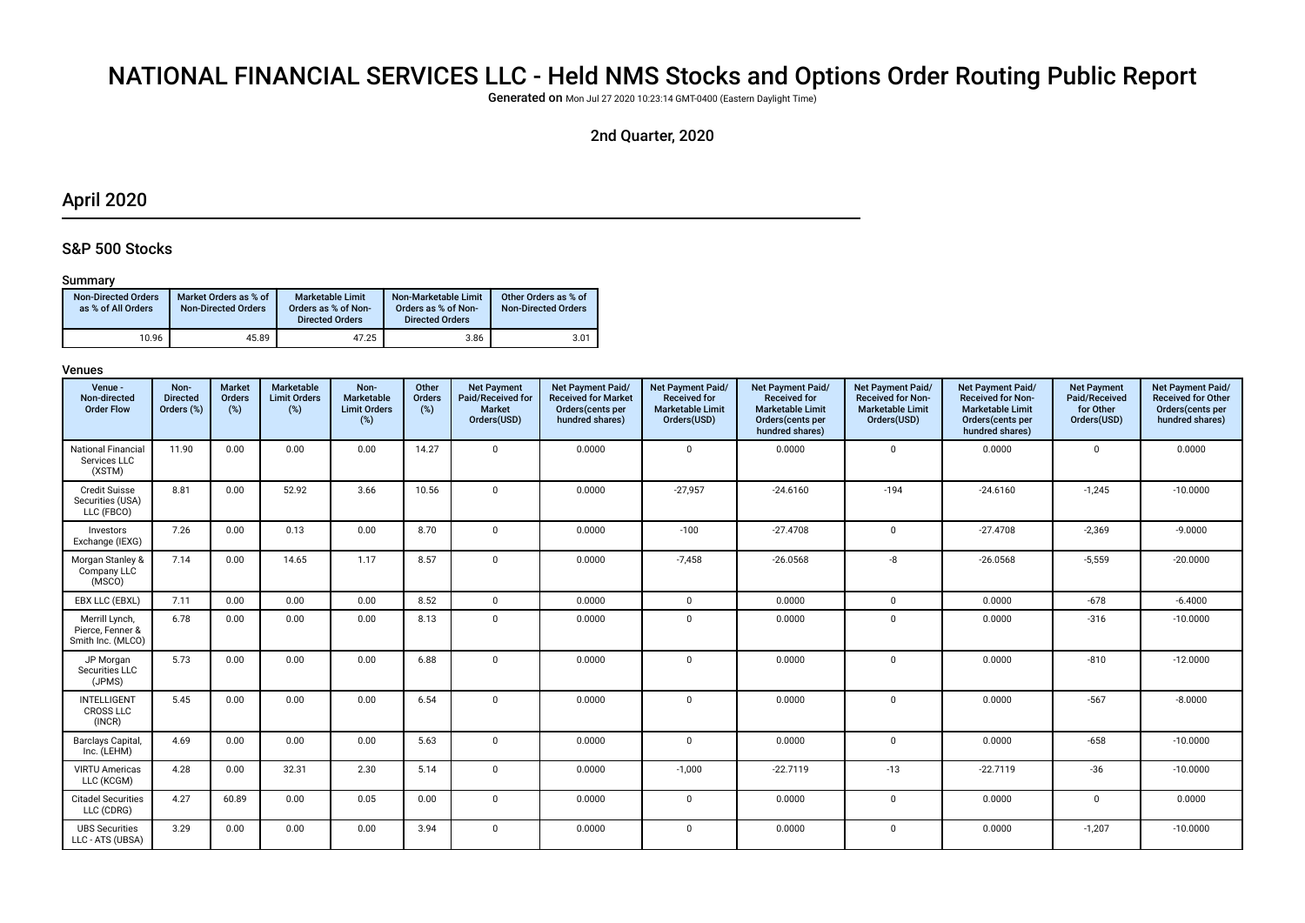# NATIONAL FINANCIAL SERVICES LLC - Held NMS Stocks and Options Order Routing Public Report

Generated on Mon Jul 27 2020 10:23:14 GMT-0400 (Eastern Daylight Time)

# 2nd Quarter, 2020

# April 2020

# S&P 500 Stocks

# Summary

| <b>Non-Directed Orders</b><br>as % of All Orders | Market Orders as % of<br><b>Non-Directed Orders</b> | Marketable Limit<br>Orders as % of Non-<br><b>Directed Orders</b> | Non-Marketable Limit<br>Orders as % of Non-<br><b>Directed Orders</b> | Other Orders as % of<br><b>Non-Directed Orders</b> |
|--------------------------------------------------|-----------------------------------------------------|-------------------------------------------------------------------|-----------------------------------------------------------------------|----------------------------------------------------|
| 10.96                                            | 45.89                                               | 47.25                                                             | 3.86                                                                  | 3.01                                               |

| Venue -<br>Non-directed<br><b>Order Flow</b>            | Non-<br><b>Directed</b><br>Orders (%) | <b>Market</b><br>Orders<br>(%) | <b>Marketable</b><br><b>Limit Orders</b><br>(%) | Non-<br>Marketable<br><b>Limit Orders</b><br>(%) | Other<br>Orders<br>(%) | <b>Net Payment</b><br>Paid/Received for<br>Market<br>Orders(USD) | Net Payment Paid/<br><b>Received for Market</b><br>Orders (cents per<br>hundred shares) | Net Payment Paid/<br><b>Received for</b><br><b>Marketable Limit</b><br>Orders(USD) | Net Payment Paid/<br><b>Received for</b><br><b>Marketable Limit</b><br>Orders(cents per<br>hundred shares) | Net Payment Paid/<br><b>Received for Non-</b><br><b>Marketable Limit</b><br>Orders(USD) | Net Payment Paid/<br><b>Received for Non-</b><br><b>Marketable Limit</b><br>Orders(cents per<br>hundred shares) | <b>Net Payment</b><br>Paid/Received<br>for Other<br>Orders(USD) | Net Payment Paid/<br><b>Received for Other</b><br>Orders(cents per<br>hundred shares) |
|---------------------------------------------------------|---------------------------------------|--------------------------------|-------------------------------------------------|--------------------------------------------------|------------------------|------------------------------------------------------------------|-----------------------------------------------------------------------------------------|------------------------------------------------------------------------------------|------------------------------------------------------------------------------------------------------------|-----------------------------------------------------------------------------------------|-----------------------------------------------------------------------------------------------------------------|-----------------------------------------------------------------|---------------------------------------------------------------------------------------|
| <b>National Financial</b><br>Services LLC<br>(XSTM)     | 11.90                                 | 0.00                           | 0.00                                            | 0.00                                             | 14.27                  | $\mathbf 0$                                                      | 0.0000                                                                                  | $\mathbf 0$                                                                        | 0.0000                                                                                                     | $\mathbf 0$                                                                             | 0.0000                                                                                                          | $\mathbf 0$                                                     | 0.0000                                                                                |
| <b>Credit Suisse</b><br>Securities (USA)<br>LLC (FBCO)  | 8.81                                  | 0.00                           | 52.92                                           | 3.66                                             | 10.56                  | $\mathbf{0}$                                                     | 0.0000                                                                                  | $-27,957$                                                                          | $-24.6160$                                                                                                 | $-194$                                                                                  | $-24.6160$                                                                                                      | $-1,245$                                                        | $-10.0000$                                                                            |
| Investors<br>Exchange (IEXG)                            | 7.26                                  | 0.00                           | 0.13                                            | 0.00                                             | 8.70                   | $\mathbf 0$                                                      | 0.0000                                                                                  | $-100$                                                                             | $-27.4708$                                                                                                 | $\mathbf 0$                                                                             | $-27.4708$                                                                                                      | $-2,369$                                                        | $-9.0000$                                                                             |
| Morgan Stanley &<br>Company LLC<br>(MSCO)               | 7.14                                  | 0.00                           | 14.65                                           | 1.17                                             | 8.57                   | $\mathbf 0$                                                      | 0.0000                                                                                  | $-7,458$                                                                           | $-26.0568$                                                                                                 | -8                                                                                      | $-26.0568$                                                                                                      | $-5,559$                                                        | $-20.0000$                                                                            |
| EBX LLC (EBXL)                                          | 7.11                                  | 0.00                           | 0.00                                            | 0.00                                             | 8.52                   | $\mathbf 0$                                                      | 0.0000                                                                                  | $\mathbf 0$                                                                        | 0.0000                                                                                                     | $\mathbf 0$                                                                             | 0.0000                                                                                                          | $-678$                                                          | $-6.4000$                                                                             |
| Merrill Lynch,<br>Pierce, Fenner &<br>Smith Inc. (MLCO) | 6.78                                  | 0.00                           | 0.00                                            | 0.00                                             | 8.13                   | $\mathbf 0$                                                      | 0.0000                                                                                  | $\mathbf 0$                                                                        | 0.0000                                                                                                     | $\mathbf 0$                                                                             | 0.0000                                                                                                          | $-316$                                                          | $-10.0000$                                                                            |
| JP Morgan<br>Securities LLC<br>(JPMS)                   | 5.73                                  | 0.00                           | 0.00                                            | 0.00                                             | 6.88                   | $\Omega$                                                         | 0.0000                                                                                  | $\Omega$                                                                           | 0.0000                                                                                                     | $\mathbf 0$                                                                             | 0.0000                                                                                                          | $-810$                                                          | $-12.0000$                                                                            |
| INTELLIGENT<br><b>CROSS LLC</b><br>(INCR)               | 5.45                                  | 0.00                           | 0.00                                            | 0.00                                             | 6.54                   | $\mathbf 0$                                                      | 0.0000                                                                                  | $\Omega$                                                                           | 0.0000                                                                                                     | $\mathbf 0$                                                                             | 0.0000                                                                                                          | $-567$                                                          | $-8.0000$                                                                             |
| Barclays Capital,<br>Inc. (LEHM)                        | 4.69                                  | 0.00                           | 0.00                                            | 0.00                                             | 5.63                   | $\mathbf 0$                                                      | 0.0000                                                                                  | $\mathbf 0$                                                                        | 0.0000                                                                                                     | $\mathbf 0$                                                                             | 0.0000                                                                                                          | $-658$                                                          | $-10.0000$                                                                            |
| <b>VIRTU Americas</b><br>LLC (KCGM)                     | 4.28                                  | 0.00                           | 32.31                                           | 2.30                                             | 5.14                   | $\mathbf 0$                                                      | 0.0000                                                                                  | $-1,000$                                                                           | $-22.7119$                                                                                                 | $-13$                                                                                   | $-22.7119$                                                                                                      | $-36$                                                           | $-10.0000$                                                                            |
| <b>Citadel Securities</b><br>LLC (CDRG)                 | 4.27                                  | 60.89                          | 0.00                                            | 0.05                                             | 0.00                   | $\mathbf 0$                                                      | 0.0000                                                                                  | $\Omega$                                                                           | 0.0000                                                                                                     | $\mathbf 0$                                                                             | 0.0000                                                                                                          | $\mathsf 0$                                                     | 0.0000                                                                                |
| <b>UBS Securities</b><br>LLC - ATS (UBSA)               | 3.29                                  | 0.00                           | 0.00                                            | 0.00                                             | 3.94                   | $\mathbf 0$                                                      | 0.0000                                                                                  | $\mathbf 0$                                                                        | 0.0000                                                                                                     | $\mathbf 0$                                                                             | 0.0000                                                                                                          | $-1,207$                                                        | $-10.0000$                                                                            |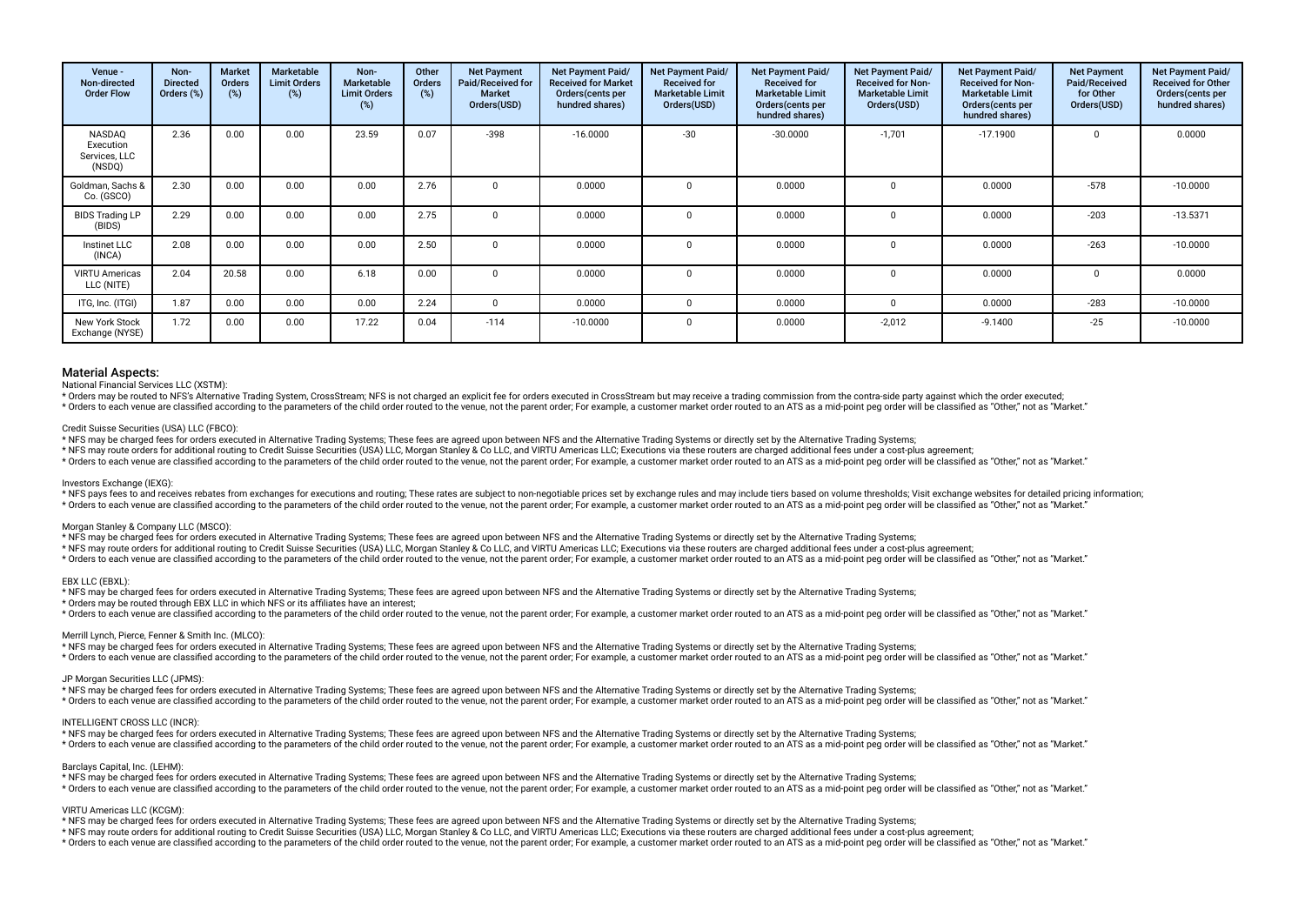| Venue -<br>Non-directed<br><b>Order Flow</b>   | Non-<br><b>Directed</b><br>Orders (%) | <b>Market</b><br><b>Orders</b><br>(%) | Marketable<br><b>Limit Orders</b><br>(%) | Non-<br><b>Marketable</b><br><b>Limit Orders</b><br>(%) | Other<br><b>Orders</b><br>(%) | <b>Net Payment</b><br>Paid/Received for<br><b>Market</b><br>Orders(USD) | Net Payment Paid/<br><b>Received for Market</b><br>Orders (cents per<br>hundred shares) | Net Payment Paid/<br><b>Received for</b><br><b>Marketable Limit</b><br>Orders(USD) | Net Payment Paid/<br><b>Received for</b><br><b>Marketable Limit</b><br>Orders(cents per<br>hundred shares) | Net Payment Paid/<br><b>Received for Non-</b><br><b>Marketable Limit</b><br>Orders(USD) | <b>Net Payment Paid/</b><br><b>Received for Non-</b><br><b>Marketable Limit</b><br>Orders(cents per<br>hundred shares) | <b>Net Payment</b><br>Paid/Received<br>for Other<br>Orders(USD) | Net Payment Paid/<br><b>Received for Other</b><br>Orders(cents per<br>hundred shares) |
|------------------------------------------------|---------------------------------------|---------------------------------------|------------------------------------------|---------------------------------------------------------|-------------------------------|-------------------------------------------------------------------------|-----------------------------------------------------------------------------------------|------------------------------------------------------------------------------------|------------------------------------------------------------------------------------------------------------|-----------------------------------------------------------------------------------------|------------------------------------------------------------------------------------------------------------------------|-----------------------------------------------------------------|---------------------------------------------------------------------------------------|
| NASDAQ<br>Execution<br>Services, LLC<br>(NSDQ) | 2.36                                  | 0.00                                  | 0.00                                     | 23.59                                                   | 0.07                          | $-398$                                                                  | $-16.0000$                                                                              | $-30$                                                                              | $-30.0000$                                                                                                 | $-1,701$                                                                                | $-17.1900$                                                                                                             | 0                                                               | 0.0000                                                                                |
| Goldman, Sachs &<br>Co. (GSCO)                 | 2.30                                  | 0.00                                  | 0.00                                     | 0.00                                                    | 2.76                          |                                                                         | 0.0000                                                                                  |                                                                                    | 0.0000                                                                                                     |                                                                                         | 0.0000                                                                                                                 | $-578$                                                          | $-10.0000$                                                                            |
| <b>BIDS Trading LP</b><br>(BIDS)               | 2.29                                  | 0.00                                  | 0.00                                     | 0.00                                                    | 2.75                          |                                                                         | 0.0000                                                                                  |                                                                                    | 0.0000                                                                                                     |                                                                                         | 0.0000                                                                                                                 | $-203$                                                          | $-13.5371$                                                                            |
| Instinet LLC<br>(INCA)                         | 2.08                                  | 0.00                                  | 0.00                                     | 0.00                                                    | 2.50                          |                                                                         | 0.0000                                                                                  |                                                                                    | 0.0000                                                                                                     |                                                                                         | 0.0000                                                                                                                 | $-263$                                                          | $-10.0000$                                                                            |
| <b>VIRTU Americas</b><br>LLC (NITE)            | 2.04                                  | 20.58                                 | 0.00                                     | 6.18                                                    | 0.00                          | $\Omega$                                                                | 0.0000                                                                                  | $\Omega$                                                                           | 0.0000                                                                                                     |                                                                                         | 0.0000                                                                                                                 | $\Omega$                                                        | 0.0000                                                                                |
| ITG, Inc. (ITGI)                               | 1.87                                  | 0.00                                  | 0.00                                     | 0.00                                                    | 2.24                          | <sup>0</sup>                                                            | 0.0000                                                                                  | $\Omega$                                                                           | 0.0000                                                                                                     | $\Omega$                                                                                | 0.0000                                                                                                                 | $-283$                                                          | $-10.0000$                                                                            |
| New York Stock<br>Exchange (NYSE)              | 1.72                                  | 0.00                                  | 0.00                                     | 17.22                                                   | 0.04                          | $-114$                                                                  | $-10.0000$                                                                              | $\Omega$                                                                           | 0.0000                                                                                                     | $-2,012$                                                                                | $-9.1400$                                                                                                              | $-25$                                                           | $-10.0000$                                                                            |

National Financial Services LLC (XSTM):

\* Orders may be routed to NFS's Alternative Trading System, CrossStream; NFS is not charged an explicit fee for orders executed in CrossStream but may receive a trading commission from the contra-side party against which t

\* Orders to each venue are classified according to the parameters of the child order routed to the venue, not the paramet or souther are the compuller a customer market order routed to an ATS as a mid-point peg order will

#### Credit Suisse Securities (USA) LLC (FBCO):

\* NFS may be charged fees for orders executed in Alternative Trading Systems; These fees are agreed upon between NFS and the Alternative Trading Systems or directly set by the Alternative Trading Systems;

\* NFS may route orders for additional routing to Credit Suisse Securities (USA) LLC, Morgan Stanley & Co LLC, and VIRTU Americas LLC; Executions via these routers are charged additional fees under a cost-plus agreement;

\* Orders to each venue are classified according to the parameters of the child order routed to the venue, not the parent order. For example, a customer market order routed to an ATS as a mid-point peg order will be classif

#### Investors Exchange (IEXG):

\* NFS pays fees to and receives rebates from exchanges for executions and routing; These rates are subject to non-negotiable prices set by exchange rules and may include tiers based on volume thresholds; Visit exchange web \* Orders to each venue are classified according to the parameters of the child order routed to the venue, not the parent order. For example, a customer market order routed to an ATS as a mid-point peg order will be classif

#### Morgan Stanley & Company LLC (MSCO):

\* NFS may be charged fees for orders executed in Alternative Trading Systems; These fees are agreed upon between NFS and the Alternative Trading Systems or directly set by the Alternative Trading Systems;

\* NFS may route orders for additional routing to Credit Suisse Securities (USA) LLC, Morgan Stanley & Co LLC, and VIRTU Americas LLC; Executions via these routers are charged additional fees under a cost-plus agreement;

\* Orders to each venue are classified according to the parameters of the child order routed to the venue, not the parent order. For example, a customer market order routed to an ATS as a mid-point ped order will be classif

#### EBX LLC (EBXL):

 $\sim$  NFS may be charged fees for orders executed in Alternative Trading Systems; These fees are agreed upon between NFS and the Alternative Trading Systems or directly set by the Alternative Trading Systems;

\* Orders may be routed through EBX LLC in which NFS or its affliates have an interest;

statement of the continuous contract the conding to the parameters of the child order routed to the venue, not the parent order, For example, a customer market order routed to an ATS as a mid-point peg order will be classi

#### Merrill Lynch, Pierce, Fenner & Smith Inc. (MLCO):

 $\sim$  NFS may be charged fees for orders executed in Alternative Trading Systems; These fees are agreed upon between NFS and the Alternative Trading Systems or directly set by the Alternative Trading Systems;

\* Orders to each venue are classified according to the parameters of the child order routed to the venue, not the parent order. For example, a customer market order routed to an ATS as a mid-point ped order will be classif

#### JP Morgan Securities LLC (JPMS):

\* NFS may be charged fees for orders executed in Alternative Trading Systems; These fees are agreed upon between NFS and the Alternative Trading Systems or directly set by the Alternative Trading Systems;

\* Orders to each venue are classified according to the parameters of the child order routed to the venue, not the parent order. For example, a customer market order routed to an ATS as a mid-point ped order will be classif

# INTELLIGENT CROSS LLC (INCR):

\* NFS may be charged fees for orders executed in Alternative Trading Systems; These fees are agreed upon between NFS and the Alternative Trading Systems or directly set by the Alternative Trading Systems;

\* Orders to each venue are classified according to the parameters of the child order routed to the venue, not the parent order. For example, a customer market order routed to an ATS as a mid-point peg order will be classif

#### Barclays Capital, Inc. (LEHM):

\* NFS may be charged fees for orders executed in Alternative Trading Systems; These fees are agreed upon between NFS and the Alternative Trading Systems or directly set by the Alternative Trading Systems; \* Orders to each venue are classified according to the parameters of the child order routed to the venue, not the parent order; For example, a customer market order routed to an ATS as a mid-point peq order will be classif

#### VIRTU Americas LLC (KCGM):

\* NFS may be charged fees for orders executed in Alternative Trading Systems; These fees are agreed upon between NFS and the Alternative Trading Systems or directly set by the Alternative Trading Systems;

\* NFS may route orders for additional routing to Credit Suisse Securities (USA) LLC, Morgan Stanley & Co LLC, and VIRTU Americas LLC; Executions via these routers are charged additional fees under a cost-plus agreement;

\* Orders to each venue are classified according to the parameters of the child order routed to the venue, not the parent order; For example, a customer market order routed to an ATS as a mid-point peg order will be classif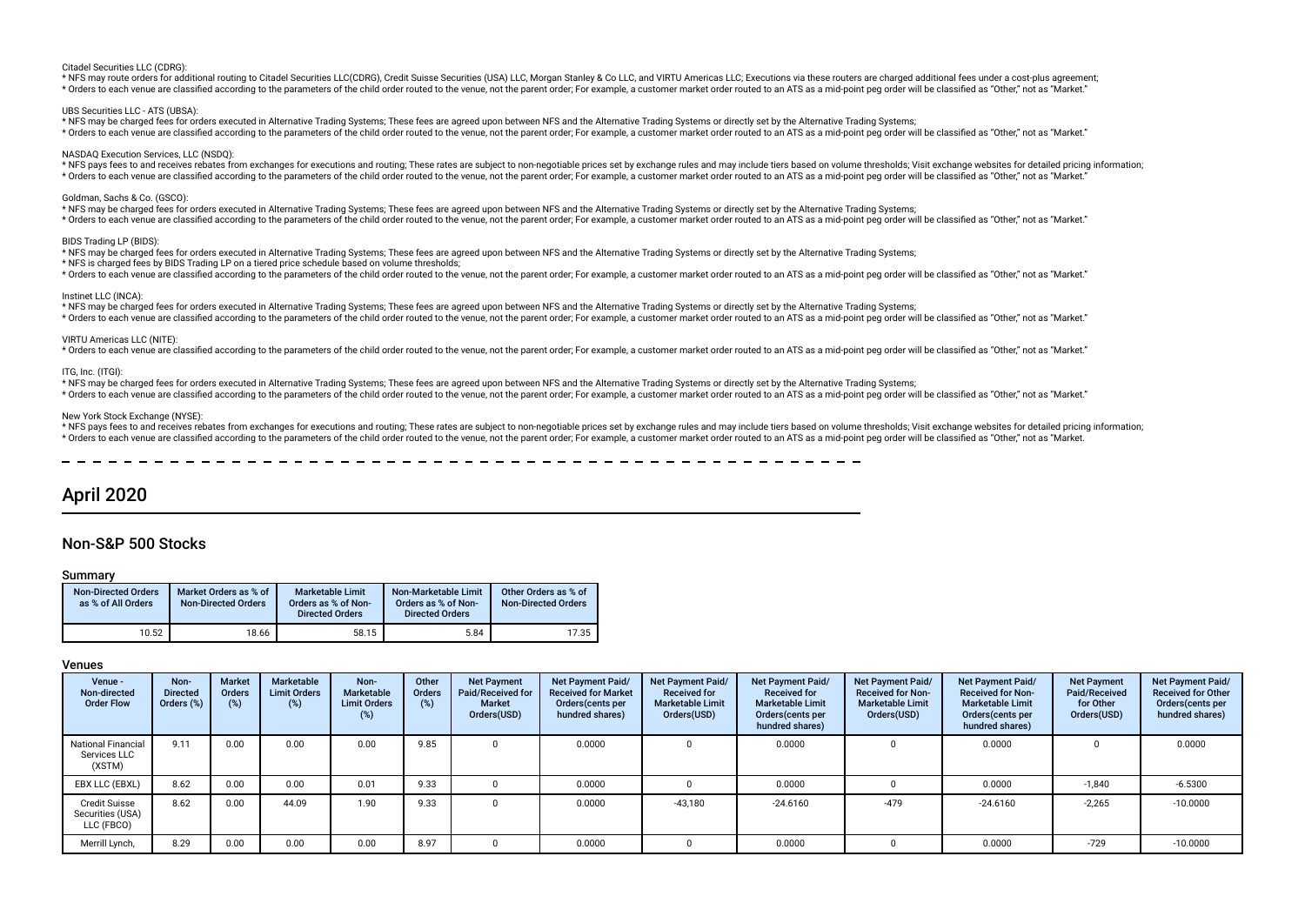#### Citadel Securities LLC (CDRG):

\* NFS may route orders for additional routing to Citadel Securities LLC(CDRG). Credit Suisse Securities (USA) LLC. Morgan Stanley & Co LLC. and VIRTU Americas LLC: Executions via these routers are charged additional fees u \* Orders to each venue are classified according to the parameters of the child order routed to the venue, not the parent order. For example, a customer market order routed to an ATS as a mid-point peg order will be classif

#### UBS Securities LLC - ATS (UBSA):

\* NFS may be charged fees for orders executed in Alternative Trading Systems; These fees are agreed upon between NFS and the Alternative Trading Systems or directly set by the Alternative Trading Systems; \* Orders to each venue are classified according to the parameters of the child order routed to the venue, not the parent order. For example, a customer market order routed to an ATS as a mid-point peg order will be classif

#### NASDAQ Execution Services, LLC (NSDQ):

\* NFS pays fees to and receives rebates from exchanges for executions and routing; These rates are subject to non-negotiable prices set by exchange rules and may include tiers based on volume thresholds; Visit exchange web \* Orders to each venue are classified according to the parameters of the child order routed to the venue, not the parent order; For example, a customer market order routed to an ATS as a mid-point peg order will be classif

#### Goldman, Sachs & Co. (GSCO):

\* NFS may be charged fees for orders executed in Alternative Trading Systems; These fees are agreed upon between NFS and the Alternative Trading Systems or directly set by the Alternative Trading Systems; \* Orders to each venue are classified according to the parameters of the child order routed to the venue, not the parent order; For example, a customer market order routed to an ATS as a mid-point peg order will be classif

#### BIDS Trading LP (BIDS)

\* NFS may be charged fees for orders executed in Alternative Trading Systems; These fees are agreed upon between NFS and the Alternative Trading Systems or directly set by the Alternative Trading Systems;

\* NFS is charged fees by BIDS Trading LP on a tiered price schedule based on volume thresholds;

\* Orders to each venue are classified according to the parameters of the child order routed to the venue, not the parent order; For example, a customer market order routed to an ATS as a mid-point peq order will be classif

#### Instinet LLC (INCA):

\* NFS may be charged fees for orders executed in Alternative Trading Systems; These fees are agreed upon between NFS and the Alternative Trading Systems or directly set by the Alternative Trading Systems; \* Orders to each venue are classified according to the parameters of the child order routed to the venue, not the parent order; For example, a customer market order routed to an ATS as a mid-point peq order will be classif

#### VIRTU Americas LLC (NITE):

\* Orders to each venue are classified according to the parameters of the child order routed to the venue, not the parent order; For example, a customer market order routed to an ATS as a mid-point peg order will be classif

#### ITG, Inc. (ITGI):

\* NFS may be charged fees for orders executed in Alternative Trading Systems; These fees are agreed upon between NFS and the Alternative Trading Systems or directly set by the Alternative Trading Systems;

\* Orders to each venue are classified according to the parameters of the child order routed to the venue, not the parent order. For example, a customer market order routed to an ATS as a mid-point peg order will be classif

# New York Stock Exchange (NYSE):

\* NFS pays fees to and receives rebates from exchanges for executions and routing: These rates are subject to non-negotiable prices set by exchange rules and may include tiers based on yolume thresholds: Visit exchange web \* Orders to each venue are classified according to the parameters of the child order routed to the venue, not the parent order; For example, a customer market order routed to an ATS as a mid-point peg order will be classif

# April 2020

# Non-S&P 500 Stocks

### Summary

| <b>Non-Directed Orders</b><br>as % of All Orders | Market Orders as % of<br><b>Non-Directed Orders</b> | <b>Marketable Limit</b><br>Orders as % of Non-<br><b>Directed Orders</b> | Non-Marketable Limit<br>Orders as % of Non-<br><b>Directed Orders</b> | Other Orders as % of<br><b>Non-Directed Orders</b> |
|--------------------------------------------------|-----------------------------------------------------|--------------------------------------------------------------------------|-----------------------------------------------------------------------|----------------------------------------------------|
| 10.52                                            | 18.66                                               | 58.15                                                                    | 5.84                                                                  | 17.35                                              |

| Venue -<br>Non-directed<br><b>Order Flow</b>           | Non-<br><b>Directed</b><br>Orders (%) | <b>Market</b><br><b>Orders</b><br>(%) | Marketable<br><b>Limit Orders</b><br>(%) | Non-<br>Marketable<br><b>Limit Orders</b><br>(%) | Other<br><b>Orders</b><br>(%) | <b>Net Payment</b><br>Paid/Received for<br>Market<br>Orders(USD) | <b>Net Payment Paid/</b><br><b>Received for Market</b><br>Orders (cents per<br>hundred shares) | <b>Net Payment Paid/</b><br><b>Received for</b><br><b>Marketable Limit</b><br>Orders(USD) | Net Payment Paid/<br><b>Received for</b><br><b>Marketable Limit</b><br>Orders(cents per<br>hundred shares) | Net Payment Paid/<br><b>Received for Non-</b><br><b>Marketable Limit</b><br>Orders(USD) | Net Payment Paid/<br><b>Received for Non-</b><br><b>Marketable Limit</b><br>Orders(cents per<br>hundred shares) | <b>Net Payment</b><br>Paid/Received<br>for Other<br>Orders(USD) | <b>Net Payment Paid/</b><br><b>Received for Other</b><br>Orders(cents per<br>hundred shares) |
|--------------------------------------------------------|---------------------------------------|---------------------------------------|------------------------------------------|--------------------------------------------------|-------------------------------|------------------------------------------------------------------|------------------------------------------------------------------------------------------------|-------------------------------------------------------------------------------------------|------------------------------------------------------------------------------------------------------------|-----------------------------------------------------------------------------------------|-----------------------------------------------------------------------------------------------------------------|-----------------------------------------------------------------|----------------------------------------------------------------------------------------------|
| <b>National Financial</b><br>Services LLC<br>(XSTM)    | 9.11                                  | 0.00                                  | 0.00                                     | 0.00                                             | 9.85                          |                                                                  | 0.0000                                                                                         |                                                                                           | 0.0000                                                                                                     |                                                                                         | 0.0000                                                                                                          |                                                                 | 0.0000                                                                                       |
| EBX LLC (EBXL)                                         | 8.62                                  | 0.00                                  | 0.00                                     | 0.01                                             | 9.33                          |                                                                  | 0.0000                                                                                         |                                                                                           | 0.0000                                                                                                     |                                                                                         | 0.0000                                                                                                          | $-1,840$                                                        | $-6.5300$                                                                                    |
| <b>Credit Suisse</b><br>Securities (USA)<br>LLC (FBCO) | 8.62                                  | 0.00                                  | 44.09                                    | 1.90                                             | 9.33                          |                                                                  | 0.0000                                                                                         | $-43.180$                                                                                 | $-24.6160$                                                                                                 | $-479$                                                                                  | $-24.6160$                                                                                                      | $-2,265$                                                        | $-10.0000$                                                                                   |
| Merrill Lynch,                                         | 8.29                                  | 0.00                                  | 0.00                                     | 0.00                                             | 8.97                          |                                                                  | 0.0000                                                                                         |                                                                                           | 0.0000                                                                                                     |                                                                                         | 0.0000                                                                                                          | $-729$                                                          | $-10.0000$                                                                                   |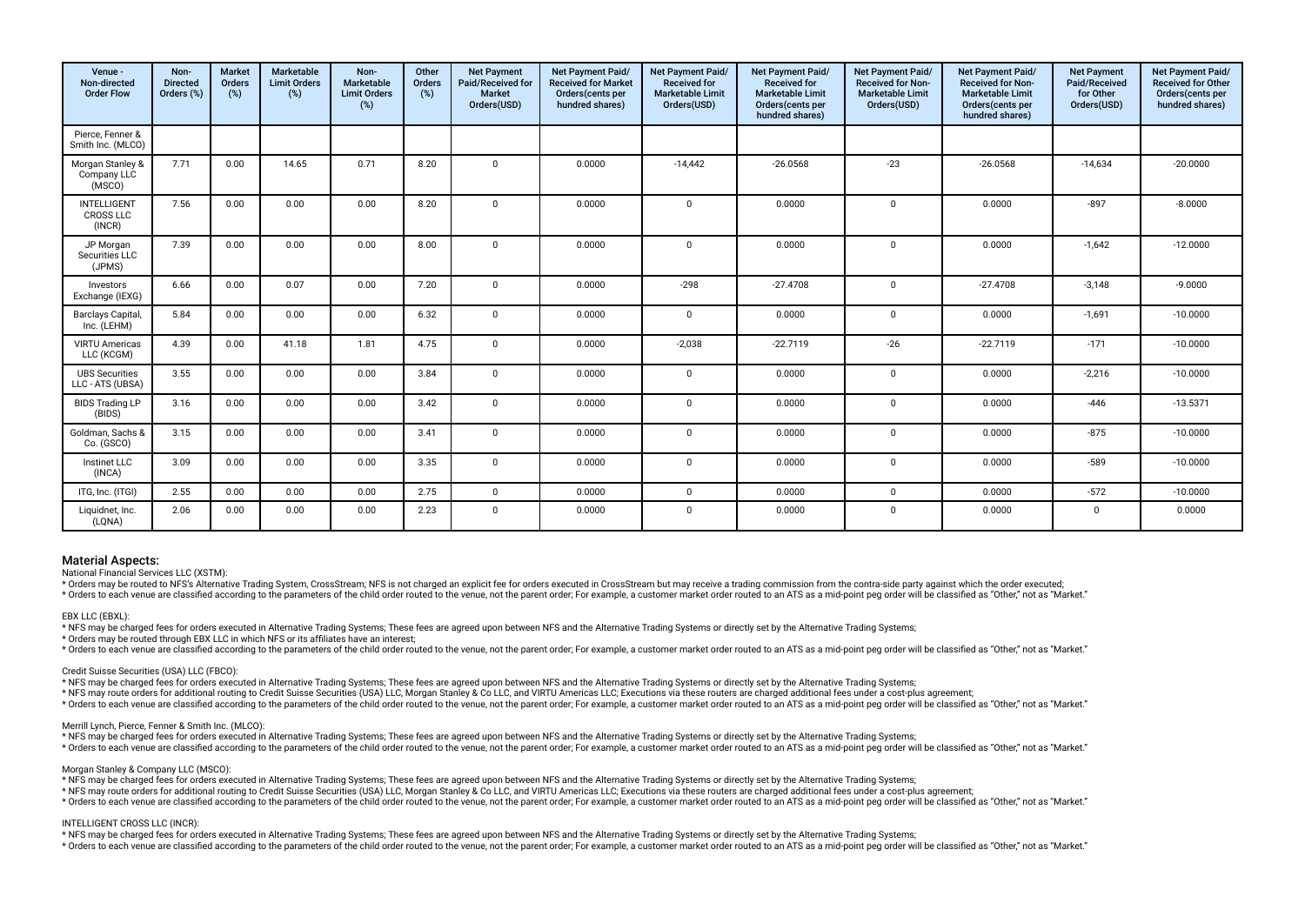| Venue -<br>Non-directed<br><b>Order Flow</b>     | Non-<br><b>Directed</b><br>Orders (%) | Market<br>Orders<br>(%) | <b>Marketable</b><br><b>Limit Orders</b><br>(%) | Non-<br>Marketable<br><b>Limit Orders</b><br>(%) | Other<br>Orders<br>(%) | <b>Net Payment</b><br>Paid/Received for<br><b>Market</b><br>Orders(USD) | Net Payment Paid/<br><b>Received for Market</b><br>Orders(cents per<br>hundred shares) | Net Payment Paid/<br><b>Received for</b><br><b>Marketable Limit</b><br>Orders(USD) | <b>Net Payment Paid/</b><br><b>Received for</b><br><b>Marketable Limit</b><br>Orders(cents per<br>hundred shares) | Net Payment Paid/<br><b>Received for Non-</b><br><b>Marketable Limit</b><br>Orders(USD) | Net Payment Paid/<br><b>Received for Non-</b><br><b>Marketable Limit</b><br>Orders(cents per<br>hundred shares) | <b>Net Payment</b><br>Paid/Received<br>for Other<br>Orders(USD) | Net Payment Paid/<br><b>Received for Other</b><br>Orders(cents per<br>hundred shares) |
|--------------------------------------------------|---------------------------------------|-------------------------|-------------------------------------------------|--------------------------------------------------|------------------------|-------------------------------------------------------------------------|----------------------------------------------------------------------------------------|------------------------------------------------------------------------------------|-------------------------------------------------------------------------------------------------------------------|-----------------------------------------------------------------------------------------|-----------------------------------------------------------------------------------------------------------------|-----------------------------------------------------------------|---------------------------------------------------------------------------------------|
| Pierce, Fenner &<br>Smith Inc. (MLCO)            |                                       |                         |                                                 |                                                  |                        |                                                                         |                                                                                        |                                                                                    |                                                                                                                   |                                                                                         |                                                                                                                 |                                                                 |                                                                                       |
| Morgan Stanley &<br>Company LLC<br>(MSCO)        | 7.71                                  | 0.00                    | 14.65                                           | 0.71                                             | 8.20                   | $\mathbf 0$                                                             | 0.0000                                                                                 | $-14,442$                                                                          | $-26.0568$                                                                                                        | $-23$                                                                                   | $-26.0568$                                                                                                      | $-14,634$                                                       | $-20.0000$                                                                            |
| <b>INTELLIGENT</b><br><b>CROSS LLC</b><br>(INCR) | 7.56                                  | 0.00                    | 0.00                                            | 0.00                                             | 8.20                   | $\Omega$                                                                | 0.0000                                                                                 | $\Omega$                                                                           | 0.0000                                                                                                            | $\Omega$                                                                                | 0.0000                                                                                                          | $-897$                                                          | $-8.0000$                                                                             |
| JP Morgan<br>Securities LLC<br>(JPMS)            | 7.39                                  | 0.00                    | 0.00                                            | 0.00                                             | 8.00                   | $\mathbf 0$                                                             | 0.0000                                                                                 | $\Omega$                                                                           | 0.0000                                                                                                            | $\Omega$                                                                                | 0.0000                                                                                                          | $-1,642$                                                        | $-12.0000$                                                                            |
| Investors<br>Exchange (IEXG)                     | 6.66                                  | 0.00                    | 0.07                                            | 0.00                                             | 7.20                   | $\mathbf 0$                                                             | 0.0000                                                                                 | $-298$                                                                             | $-27.4708$                                                                                                        | $\mathbf 0$                                                                             | $-27.4708$                                                                                                      | $-3,148$                                                        | $-9.0000$                                                                             |
| Barclays Capital,<br>Inc. (LEHM)                 | 5.84                                  | 0.00                    | 0.00                                            | 0.00                                             | 6.32                   | $\mathbf 0$                                                             | 0.0000                                                                                 | $^{\circ}$                                                                         | 0.0000                                                                                                            | $\Omega$                                                                                | 0.0000                                                                                                          | $-1,691$                                                        | $-10.0000$                                                                            |
| <b>VIRTU Americas</b><br>LLC (KCGM)              | 4.39                                  | 0.00                    | 41.18                                           | 1.81                                             | 4.75                   | $\mathbf 0$                                                             | 0.0000                                                                                 | $-2.038$                                                                           | $-22.7119$                                                                                                        | $-26$                                                                                   | $-22.7119$                                                                                                      | $-171$                                                          | $-10.0000$                                                                            |
| <b>UBS Securities</b><br>LLC - ATS (UBSA)        | 3.55                                  | 0.00                    | 0.00                                            | 0.00                                             | 3.84                   | $\mathbf 0$                                                             | 0.0000                                                                                 | $\mathbf 0$                                                                        | 0.0000                                                                                                            | $\mathbf{0}$                                                                            | 0.0000                                                                                                          | $-2,216$                                                        | $-10.0000$                                                                            |
| <b>BIDS Trading LP</b><br>(BIDS)                 | 3.16                                  | 0.00                    | 0.00                                            | 0.00                                             | 3.42                   | $\mathbf 0$                                                             | 0.0000                                                                                 | $\Omega$                                                                           | 0.0000                                                                                                            | $\Omega$                                                                                | 0.0000                                                                                                          | $-446$                                                          | $-13.5371$                                                                            |
| Goldman, Sachs &<br>Co. (GSCO)                   | 3.15                                  | 0.00                    | 0.00                                            | 0.00                                             | 3.41                   | $\mathbf 0$                                                             | 0.0000                                                                                 | $\mathbf 0$                                                                        | 0.0000                                                                                                            | $\Omega$                                                                                | 0.0000                                                                                                          | $-875$                                                          | $-10.0000$                                                                            |
| Instinet LLC<br>(INCA)                           | 3.09                                  | 0.00                    | 0.00                                            | 0.00                                             | 3.35                   | $\mathbf 0$                                                             | 0.0000                                                                                 | $\mathbf 0$                                                                        | 0.0000                                                                                                            | $\mathbf{0}$                                                                            | 0.0000                                                                                                          | $-589$                                                          | $-10.0000$                                                                            |
| ITG, Inc. (ITGI)                                 | 2.55                                  | 0.00                    | 0.00                                            | 0.00                                             | 2.75                   | $\mathbf 0$                                                             | 0.0000                                                                                 | $\mathbf{0}$                                                                       | 0.0000                                                                                                            | $\Omega$                                                                                | 0.0000                                                                                                          | $-572$                                                          | $-10.0000$                                                                            |
| Liquidnet, Inc.<br>(LQNA)                        | 2.06                                  | 0.00                    | 0.00                                            | 0.00                                             | 2.23                   | $\mathbf 0$                                                             | 0.0000                                                                                 | $^{\circ}$                                                                         | 0.0000                                                                                                            | $\mathbf{0}$                                                                            | 0.0000                                                                                                          | $\mathbf 0$                                                     | 0.0000                                                                                |

National Financial Services LLC (XSTM):

\* Orders may be routed to NFS's Alternative Trading System, CrossStream; NFS is not charged an explicit fee for orders executed in CrossStream but may receive a trading commission from the contra-side party against which t \* Orders to each venue are classified according to the parameters of the child order routed to the venue, not the parent order; For example, a customer market order routed to an ATS as a mid-point peq order will be classif

#### EBX LLC (EBXL):

\* NFS may be charged fees for orders executed in Alternative Trading Systems; These fees are agreed upon between NFS and the Alternative Trading Systems or directly set by the Alternative Trading Systems;

\* Orders may be routed through EBX LLC in which NFS or its affliates have an interest;

\* Orders to each venue are classified according to the parameters of the child order routed to the venue, not the parent order; For example, a customer market order routed to an ATS as a mid-point peq order will be classif

Credit Suisse Securities (USA) LLC (FBCO):

\* NFS may be charged fees for orders executed in Alternative Trading Systems; These fees are agreed upon between NFS and the Alternative Trading Systems or directly set by the Alternative Trading Systems;

\* NFS may route orders for additional routing to Credit Suisse Securities (USA) LLC, Morgan Stanley & Co LLC, and VIRTU Americas LLC; Executions via these routers are charged additional fees under a cost-plus agreement;

\* Orders to each venue are classified according to the parameters of the child order routed to the venue, not the parent order; For example, a customer market order routed to an ATS as a mid-point peg order will be classif

# Merrill Lynch, Pierce, Fenner & Smith Inc. (MLCO):

\* NFS may be charged fees for orders executed in Alternative Trading Systems; These fees are agreed upon between NFS and the Alternative Trading Systems or directly set by the Alternative Trading Systems;

\* Orders to each venue are classified according to the parameters of the child order routed to the venue, not the parent order. For example, a customer market order routed to an ATS as a mid-point peg order will be classif

Morgan Stanley & Company LLC (MSCO):

\* NFS may be charged fees for orders executed in Alternative Trading Systems; These fees are agreed upon between NFS and the Alternative Trading Systems or directly set by the Alternative Trading Systems;

\* NFS may route orders for additional routing to Credit Suisse Securities (USA) LLC, Morgan Stanley & Co LLC, and VIRTU Americas LLC; Executions via these routers are charged additional fees under a cost-plus agreement;

\* Orders to each venue are classified according to the parameters of the child order routed to the venue, not the parent order; For example, a customer market order routed to an ATS as a mid-point peq order will be classif

#### INTELLIGENT CROSS LLC (INCR):

\* NFS may be charged fees for orders executed in Alternative Trading Systems; These fees are agreed upon between NFS and the Alternative Trading Systems or directly set by the Alternative Trading Systems;

\* Orders to each venue are classified according to the parameters of the child order routed to the venue, not the parent order. For example, a customer market order routed to an ATS as a mid-point peg order will be classif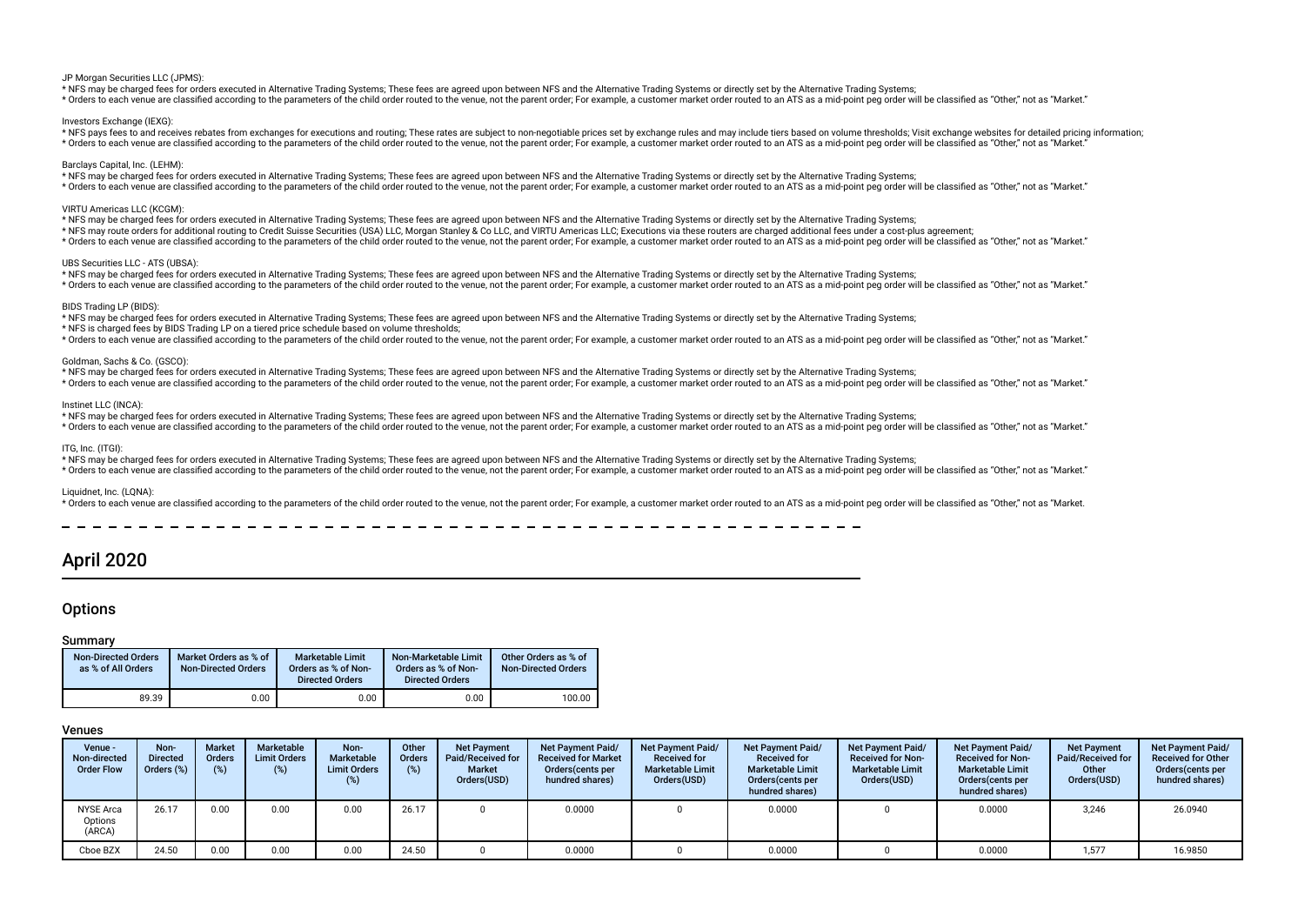#### JP Morgan Securities LLC (JPMS):

\* NFS may be charged fees for orders executed in Alternative Trading Systems; These fees are agreed upon between NFS and the Alternative Trading Systems or directly set by the Alternative Trading Systems;

\* Orders to each venue are classified according to the parameters of the child order routed to the venue, not the parent order; For example, a customer market order routed to an ATS as a mid-point peg order will be classif

#### Investors Exchange (IEXG):

\* NFS pays fees to and receives rebates from exchanges for executions and routing: These rates are subject to non-negotiable prices set by exchange rules and may include tiers based on yolume thresholds: Visit exchange web \* Orders to each venue are classified according to the parameters of the child order routed to the venue, not the parent order. For example, a customer market order routed to an ATS as a mid-point peo order will be classif

#### Barclays Capital, Inc. (LEHM):

\* NFS may be charged fees for orders executed in Alternative Trading Systems; These fees are agreed upon between NFS and the Alternative Trading Systems or directly set by the Alternative Trading Systems; \* Orders to each venue are classified according to the parameters of the child order routed to the venue, not the parent order; For example, a customer market order routed to an ATS as a mid-point peq order will be classif

#### VIRTU Americas LLC (KCGM):

\* NFS may be charged fees for orders executed in Alternative Trading Systems; These fees are agreed upon between NFS and the Alternative Trading Systems or directly set by the Alternative Trading Systems; \* NFS may route orders for additional routing to Credit Suisse Securities (USA) LLC, Morgan Stanley & Co LLC, and VIRTU Americas LLC; Executions via these routers are charged additional fees under a cost-plus agreement; \* Orders to each venue are classified according to the parameters of the child order routed to the venue, not the parent order; For example, a customer market order routed to an ATS as a mid-point peq order will be classif

#### UBS Securities LLC - ATS (UBSA):

\* NFS may be charged fees for orders executed in Alternative Trading Systems; These fees are agreed upon between NFS and the Alternative Trading Systems or directly set by the Alternative Trading Systems; \* Orders to each venue are classified according to the parameters of the child order routed to the venue, not the parent order; For example, a customer market order routed to an ATS as a mid-point peq order will be classif

#### BIDS Trading LP (BIDS):

\* NFS may be charged fees for orders executed in Alternative Trading Systems; These fees are agreed upon between NFS and the Alternative Trading Systems or directly set by the Alternative Trading Systems;

\* NFS is charged fees by BIDS Trading LP on a tiered price schedule based on volume thresholds;

\* Orders to each venue are classified according to the parameters of the child order routed to the venue, not the parent order; For example, a customer market order routed to an ATS as a mid-point peg order will be classif

# Goldman, Sachs & Co. (GSCO):

\* NFS may be charged fees for orders executed in Alternative Trading Systems; These fees are agreed upon between NFS and the Alternative Trading Systems or directly set by the Alternative Trading Systems; \* Orders to each venue are classified according to the parameters of the child order routed to the venue, not the parent order; For example, a customer market order routed to an ATS as a mid-point peq order will be classif

#### Instinet LLC (INCA):

\* NFS may be charged fees for orders executed in Alternative Trading Systems; These fees are agreed upon between NFS and the Alternative Trading Systems or directly set by the Alternative Trading Systems;

\* Orders to each venue are classified according to the parameters of the child order routed to the venue, not the parent order. For example, a customer market order routed to an ATS as a mid-point peg order will be classif

# ITG, Inc. (ITGI):

\* NFS may be charged fees for orders executed in Alternative Trading Systems; These fees are agreed upon between NFS and the Alternative Trading Systems or directly set by the Alternative Trading Systems; \* Orders to each venue are classified according to the parameters of the child order routed to the venue, not the parent order. For example, a customer market order routed to an ATS as a mid-point peg order will be classif

#### Liquidnet, Inc. (LQNA):

\* Orders to each venue are classified according to the parameters of the child order routed to the venue, not the parent order; For example, a customer market order routed to an ATS as a mid-point peg order will be classif

\_\_\_\_\_\_\_\_\_\_\_\_\_\_\_\_\_\_\_\_\_\_\_\_\_\_\_\_\_

# April 2020

# **Options**

### Summary

| <b>Non-Directed Orders</b><br>as % of All Orders | Market Orders as % of<br><b>Non-Directed Orders</b> | <b>Marketable Limit</b><br>Orders as % of Non-<br><b>Directed Orders</b> | Non-Marketable Limit<br>Orders as % of Non-<br><b>Directed Orders</b> | Other Orders as % of<br><b>Non-Directed Orders</b> |
|--------------------------------------------------|-----------------------------------------------------|--------------------------------------------------------------------------|-----------------------------------------------------------------------|----------------------------------------------------|
| 89.39                                            | 0.00                                                | 0.00                                                                     | 0.00                                                                  | 100.00                                             |

| Venue -<br>Non-directed<br><b>Order Flow</b> | Non-<br><b>Directed</b><br>Orders (%) | <b>Market</b><br><b>Orders</b><br>(%) | Marketable<br><b>Limit Orders</b><br>(%) | Non-<br>Marketable<br><b>Limit Orders</b><br>(%) | Other<br>Orders<br>(%) | <b>Net Payment</b><br>Paid/Received for<br><b>Market</b><br>Orders(USD) | <b>Net Payment Paid/</b><br><b>Received for Market</b><br>Orders (cents per<br>hundred shares) | Net Payment Paid/<br><b>Received for</b><br><b>Marketable Limit</b><br>Orders(USD) | Net Payment Paid/<br><b>Received for</b><br><b>Marketable Limit</b><br>Orders (cents per<br>hundred shares) | Net Payment Paid/<br><b>Received for Non-</b><br><b>Marketable Limit</b><br>Orders(USD) | Net Payment Paid/<br><b>Received for Non-</b><br><b>Marketable Limit</b><br>Orders (cents per<br>hundred shares) | <b>Net Payment</b><br>Paid/Received for<br>Other<br>Orders(USD) | Net Payment Paid/<br><b>Received for Other</b><br>Orders (cents per<br>hundred shares) |
|----------------------------------------------|---------------------------------------|---------------------------------------|------------------------------------------|--------------------------------------------------|------------------------|-------------------------------------------------------------------------|------------------------------------------------------------------------------------------------|------------------------------------------------------------------------------------|-------------------------------------------------------------------------------------------------------------|-----------------------------------------------------------------------------------------|------------------------------------------------------------------------------------------------------------------|-----------------------------------------------------------------|----------------------------------------------------------------------------------------|
| <b>NYSE Arca</b><br>Options<br>(ARCA)        | 26.17                                 | 0.00                                  | 0.00                                     | 0.00                                             | 26.17                  |                                                                         | 0.0000                                                                                         |                                                                                    | 0.0000                                                                                                      |                                                                                         | 0.0000                                                                                                           | 3,246                                                           | 26.0940                                                                                |
| Cboe BZX                                     | 24.50                                 | 0.00                                  | 0.00                                     | 0.00                                             | 24.50                  |                                                                         | 0.0000                                                                                         |                                                                                    | 0.0000                                                                                                      |                                                                                         | 0.0000                                                                                                           | 1.577                                                           | 16.9850                                                                                |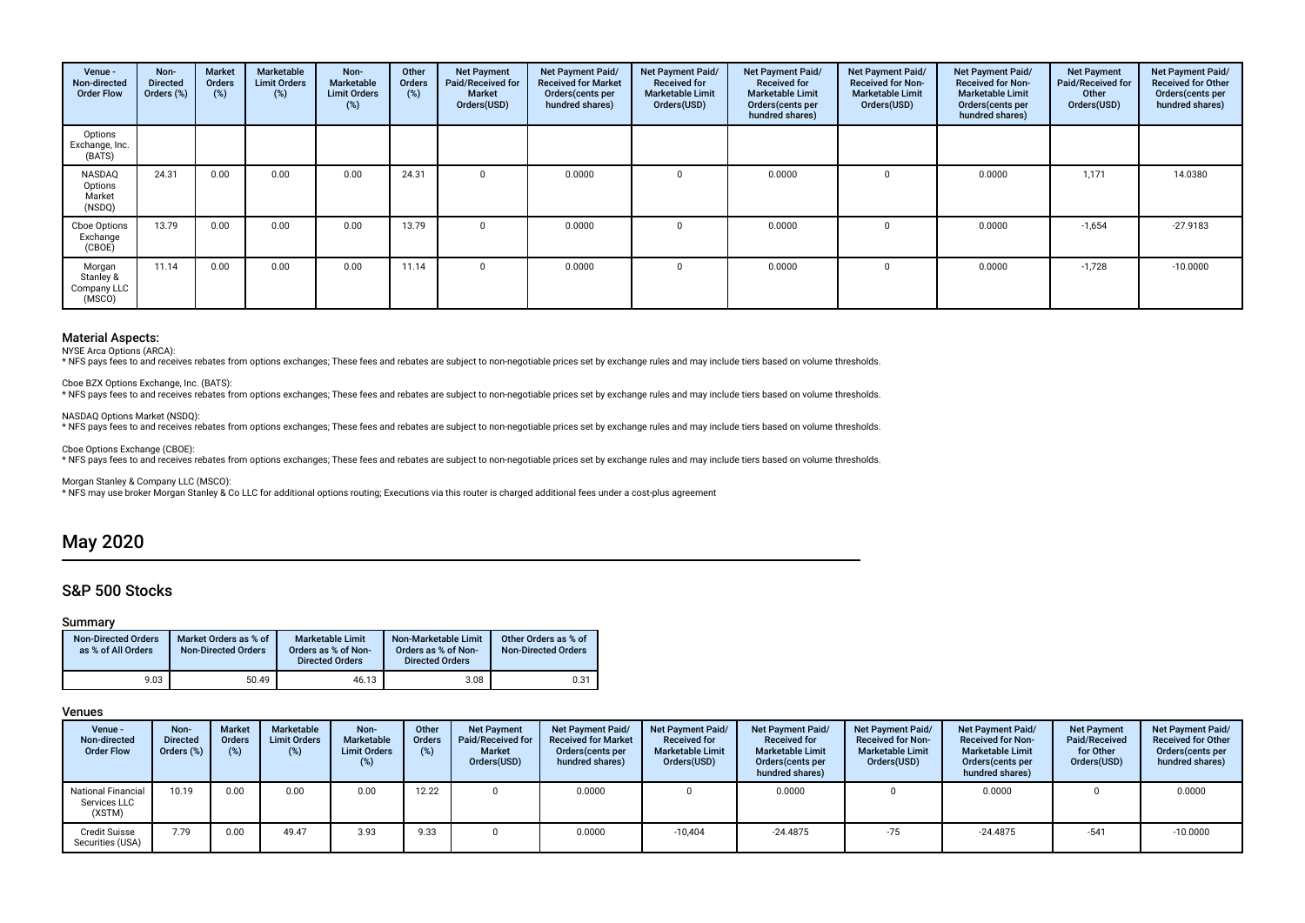| Venue -<br>Non-directed<br><b>Order Flow</b> | Non-<br><b>Directed</b><br>Orders (%) | Market<br>Orders<br>$(\%)$ | Marketable<br><b>Limit Orders</b><br>$(\%)$ | Non-<br>Marketable<br><b>Limit Orders</b><br>(%) | Other<br>Orders<br>(%) | <b>Net Payment</b><br>Paid/Received for<br><b>Market</b><br>Orders(USD) | Net Payment Paid/<br><b>Received for Market</b><br>Orders (cents per<br>hundred shares) | Net Payment Paid/<br><b>Received for</b><br><b>Marketable Limit</b><br>Orders(USD) | Net Payment Paid/<br><b>Received for</b><br><b>Marketable Limit</b><br>Orders (cents per<br>hundred shares) | Net Payment Paid/<br><b>Received for Non-</b><br><b>Marketable Limit</b><br>Orders(USD) | Net Payment Paid/<br><b>Received for Non-</b><br><b>Marketable Limit</b><br>Orders (cents per<br>hundred shares) | <b>Net Payment</b><br>Paid/Received for<br>Other<br>Orders(USD) | Net Payment Paid/<br><b>Received for Other</b><br>Orders(cents per<br>hundred shares) |
|----------------------------------------------|---------------------------------------|----------------------------|---------------------------------------------|--------------------------------------------------|------------------------|-------------------------------------------------------------------------|-----------------------------------------------------------------------------------------|------------------------------------------------------------------------------------|-------------------------------------------------------------------------------------------------------------|-----------------------------------------------------------------------------------------|------------------------------------------------------------------------------------------------------------------|-----------------------------------------------------------------|---------------------------------------------------------------------------------------|
| Options<br>Exchange, Inc.<br>(BATS)          |                                       |                            |                                             |                                                  |                        |                                                                         |                                                                                         |                                                                                    |                                                                                                             |                                                                                         |                                                                                                                  |                                                                 |                                                                                       |
| NASDAQ<br>Options<br>Market<br>(NSDQ)        | 24.31                                 | 0.00                       | 0.00                                        | 0.00                                             | 24.31                  | $\Omega$                                                                | 0.0000                                                                                  |                                                                                    | 0.0000                                                                                                      | 0                                                                                       | 0.0000                                                                                                           | 1,171                                                           | 14.0380                                                                               |
| Cboe Options<br>Exchange<br>(CBOE)           | 13.79                                 | 0.00                       | 0.00                                        | 0.00                                             | 13.79                  | $\Omega$                                                                | 0.0000                                                                                  | $\Omega$                                                                           | 0.0000                                                                                                      | 0                                                                                       | 0.0000                                                                                                           | $-1,654$                                                        | $-27.9183$                                                                            |
| Morgan<br>Stanley &<br>Company LLC<br>(MSCO) | 11.14                                 | 0.00                       | 0.00                                        | 0.00                                             | 11.14                  |                                                                         | 0.0000                                                                                  |                                                                                    | 0.0000                                                                                                      | $\Omega$                                                                                | 0.0000                                                                                                           | $-1,728$                                                        | $-10.0000$                                                                            |

NYSE Arca Options (ARCA):

\* NFS pays fees to and receives rebates from options exchanges; These fees and rebates are subject to non-negotiable prices set by exchange rules and may include tiers based on volume thresholds.

Cboe BZX Options Exchange, Inc. (BATS):

\* NFS pays fees to and receives rebates from options exchanges; These fees and rebates are subject to non-negotiable prices set by exchange rules and may include tiers based on volume thresholds.

NASDAQ Options Market (NSDQ):

\* NFS pays fees to and receives rebates from options exchanges; These fees and rebates are subject to non-negotiable prices set by exchange rules and may include tiers based on volume thresholds.

Cboe Options Exchange (CBOE):

\* NFS pays fees to and receives rebates from options exchanges; These fees and rebates are subject to non-negotiable prices set by exchange rules and may include tiers based on volume thresholds.

Morgan Stanley & Company LLC (MSCO):

\* NFS may use broker Morgan Stanley & Co LLC for additional options routing; Executions via this router is charged additional fees under a cost-plus agreement

# May 2020

# S&P 500 Stocks

# Summary

| <b>Non-Directed Orders</b><br>as % of All Orders | Market Orders as % of<br><b>Non-Directed Orders</b> | Marketable Limit<br>Orders as % of Non-<br><b>Directed Orders</b> | Non-Marketable Limit<br>Orders as % of Non-<br><b>Directed Orders</b> | Other Orders as % of<br>Non-Directed Orders |
|--------------------------------------------------|-----------------------------------------------------|-------------------------------------------------------------------|-----------------------------------------------------------------------|---------------------------------------------|
| 9.03                                             | 50.49                                               | 46.13                                                             | 3.08                                                                  | 0.31                                        |

| Venue -<br>Non-directed<br><b>Order Flow</b>        | Non-<br><b>Directed</b><br>Orders $(\%)$ | <b>Market</b><br><b>Orders</b><br>(%) | Marketable<br><b>Limit Orders</b><br>(%) | Non-<br>Marketable<br><b>Limit Orders</b><br>(%) | Other<br><b>Orders</b><br>$(\%)$ | <b>Net Payment</b><br>Paid/Received for<br><b>Market</b><br>Orders(USD) | Net Payment Paid/<br><b>Received for Market</b><br>Orders (cents per<br>hundred shares) | <b>Net Payment Paid/</b><br><b>Received for</b><br><b>Marketable Limit</b><br>Orders(USD) | Net Payment Paid/<br><b>Received for</b><br><b>Marketable Limit</b><br>Orders (cents per<br>hundred shares) | Net Payment Paid/<br><b>Received for Non-</b><br><b>Marketable Limit</b><br>Orders(USD) | <b>Net Payment Paid/</b><br><b>Received for Non-</b><br><b>Marketable Limit</b><br>Orders(cents per<br>hundred shares) | <b>Net Payment</b><br>Paid/Received<br>for Other<br>Orders(USD) | <b>Net Payment Paid/</b><br><b>Received for Other</b><br>Orders (cents per<br>hundred shares) |
|-----------------------------------------------------|------------------------------------------|---------------------------------------|------------------------------------------|--------------------------------------------------|----------------------------------|-------------------------------------------------------------------------|-----------------------------------------------------------------------------------------|-------------------------------------------------------------------------------------------|-------------------------------------------------------------------------------------------------------------|-----------------------------------------------------------------------------------------|------------------------------------------------------------------------------------------------------------------------|-----------------------------------------------------------------|-----------------------------------------------------------------------------------------------|
| <b>National Financial</b><br>Services LLC<br>(XSTM) | 10.19                                    | 0.00                                  | 0.00                                     | 0.00                                             | 12.22                            |                                                                         | 0.0000                                                                                  |                                                                                           | 0.0000                                                                                                      |                                                                                         | 0.0000                                                                                                                 |                                                                 | 0.0000                                                                                        |
| <b>Credit Suisse</b><br>Securities (USA)            | 7.79                                     | 0.00                                  | 49.47                                    | 3.93                                             | 9.33                             |                                                                         | 0.0000                                                                                  | $-10.404$                                                                                 | $-24.4875$                                                                                                  | $-75$                                                                                   | $-24.4875$                                                                                                             | $-541$                                                          | $-10.0000$                                                                                    |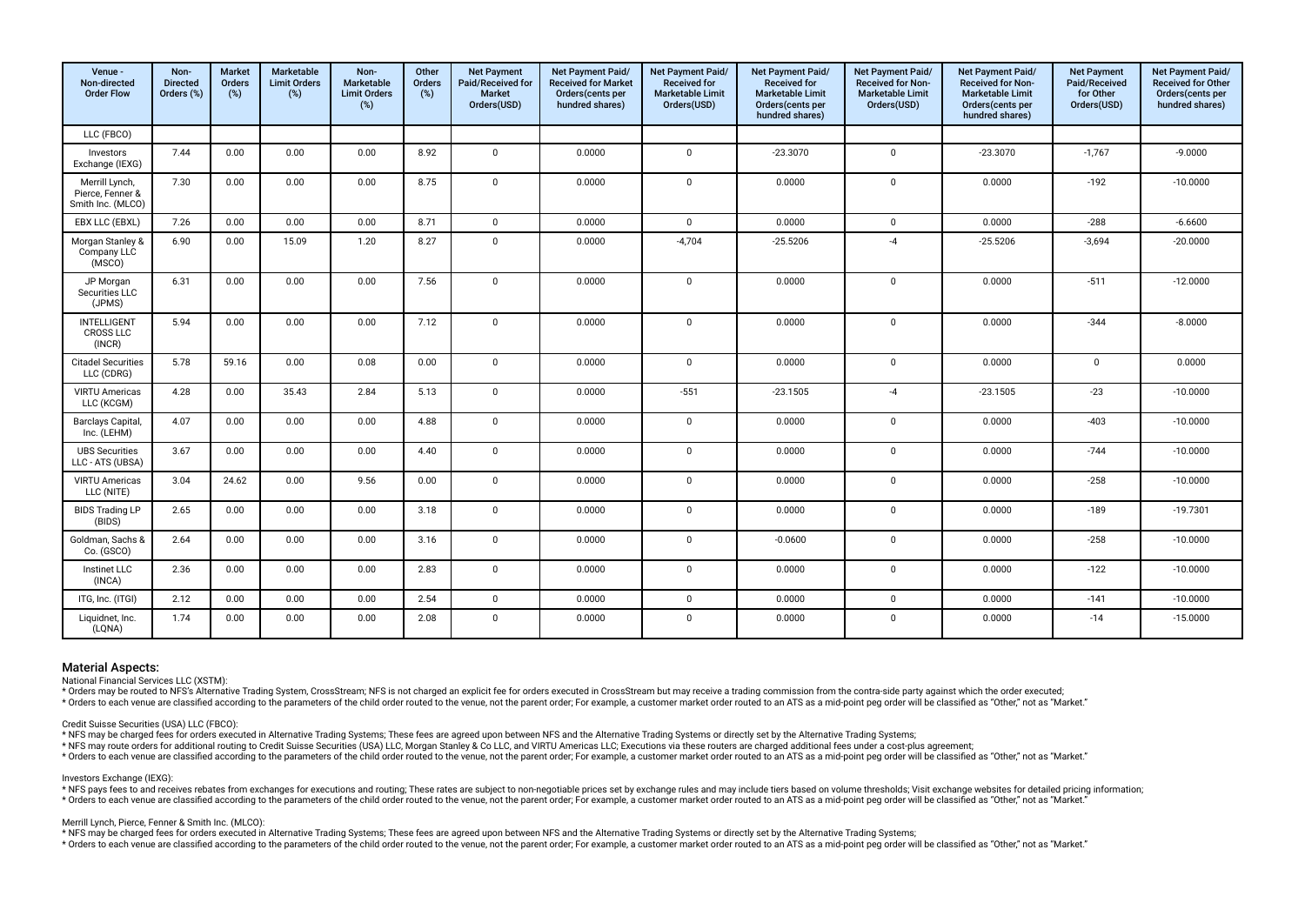| Venue -<br>Non-directed<br><b>Order Flow</b>            | Non-<br><b>Directed</b><br>Orders (%) | <b>Market</b><br>Orders<br>(%) | Marketable<br><b>Limit Orders</b><br>(%) | Non-<br>Marketable<br><b>Limit Orders</b><br>$(\%)$ | Other<br>Orders<br>(%) | <b>Net Payment</b><br>Paid/Received for<br><b>Market</b><br>Orders(USD) | Net Payment Paid/<br><b>Received for Market</b><br>Orders (cents per<br>hundred shares) | Net Payment Paid/<br><b>Received for</b><br><b>Marketable Limit</b><br>Orders(USD) | Net Payment Paid/<br><b>Received for</b><br><b>Marketable Limit</b><br>Orders(cents per<br>hundred shares) | <b>Net Payment Paid/</b><br>Received for Non-<br><b>Marketable Limit</b><br>Orders(USD) | Net Payment Paid/<br>Received for Non-<br><b>Marketable Limit</b><br>Orders(cents per<br>hundred shares) | <b>Net Payment</b><br>Paid/Received<br>for Other<br>Orders(USD) | Net Payment Paid/<br>Received for Other<br>Orders(cents per<br>hundred shares) |
|---------------------------------------------------------|---------------------------------------|--------------------------------|------------------------------------------|-----------------------------------------------------|------------------------|-------------------------------------------------------------------------|-----------------------------------------------------------------------------------------|------------------------------------------------------------------------------------|------------------------------------------------------------------------------------------------------------|-----------------------------------------------------------------------------------------|----------------------------------------------------------------------------------------------------------|-----------------------------------------------------------------|--------------------------------------------------------------------------------|
| LLC (FBCO)                                              |                                       |                                |                                          |                                                     |                        |                                                                         |                                                                                         |                                                                                    |                                                                                                            |                                                                                         |                                                                                                          |                                                                 |                                                                                |
| Investors<br>Exchange (IEXG)                            | 7.44                                  | 0.00                           | 0.00                                     | 0.00                                                | 8.92                   | $\mathbf 0$                                                             | 0.0000                                                                                  | $\mathbf 0$                                                                        | $-23.3070$                                                                                                 | $\mathbf{0}$                                                                            | $-23.3070$                                                                                               | $-1,767$                                                        | $-9.0000$                                                                      |
| Merrill Lynch,<br>Pierce, Fenner &<br>Smith Inc. (MLCO) | 7.30                                  | 0.00                           | 0.00                                     | 0.00                                                | 8.75                   | $\mathbf 0$                                                             | 0.0000                                                                                  | $\mathbf 0$                                                                        | 0.0000                                                                                                     | $\mathbf 0$                                                                             | 0.0000                                                                                                   | $-192$                                                          | $-10.0000$                                                                     |
| EBX LLC (EBXL)                                          | 7.26                                  | 0.00                           | 0.00                                     | 0.00                                                | 8.71                   | $\mathbf 0$                                                             | 0.0000                                                                                  | $\mathbf 0$                                                                        | 0.0000                                                                                                     | $\mathbf{0}$                                                                            | 0.0000                                                                                                   | $-288$                                                          | $-6.6600$                                                                      |
| Morgan Stanley &<br>Company LLC<br>(MSCO)               | 6.90                                  | 0.00                           | 15.09                                    | 1.20                                                | 8.27                   | $\mathbf 0$                                                             | 0.0000                                                                                  | $-4,704$                                                                           | $-25.5206$                                                                                                 | $-4$                                                                                    | $-25.5206$                                                                                               | $-3,694$                                                        | $-20.0000$                                                                     |
| JP Morgan<br>Securities LLC<br>(JPMS)                   | 6.31                                  | 0.00                           | 0.00                                     | 0.00                                                | 7.56                   | $\mathbf 0$                                                             | 0.0000                                                                                  | $\Omega$                                                                           | 0.0000                                                                                                     | $\Omega$                                                                                | 0.0000                                                                                                   | $-511$                                                          | $-12.0000$                                                                     |
| INTELLIGENT<br><b>CROSS LLC</b><br>(INCR)               | 5.94                                  | 0.00                           | 0.00                                     | 0.00                                                | 7.12                   | 0                                                                       | 0.0000                                                                                  | $\mathbf 0$                                                                        | 0.0000                                                                                                     | $\mathbf{0}$                                                                            | 0.0000                                                                                                   | $-344$                                                          | $-8.0000$                                                                      |
| <b>Citadel Securities</b><br>LLC (CDRG)                 | 5.78                                  | 59.16                          | 0.00                                     | 0.08                                                | 0.00                   | $\mathbf 0$                                                             | 0.0000                                                                                  | $\mathbf 0$                                                                        | 0.0000                                                                                                     | $\overline{0}$                                                                          | 0.0000                                                                                                   | 0                                                               | 0.0000                                                                         |
| <b>VIRTU Americas</b><br>LLC (KCGM)                     | 4.28                                  | 0.00                           | 35.43                                    | 2.84                                                | 5.13                   | $\mathbf 0$                                                             | 0.0000                                                                                  | $-551$                                                                             | $-23.1505$                                                                                                 | $-4$                                                                                    | $-23.1505$                                                                                               | $-23$                                                           | $-10.0000$                                                                     |
| <b>Barclays Capital</b><br>Inc. (LEHM)                  | 4.07                                  | 0.00                           | 0.00                                     | 0.00                                                | 4.88                   | $\Omega$                                                                | 0.0000                                                                                  | $\mathbf 0$                                                                        | 0.0000                                                                                                     | $\Omega$                                                                                | 0.0000                                                                                                   | $-403$                                                          | $-10.0000$                                                                     |
| <b>UBS Securities</b><br>LLC - ATS (UBSA)               | 3.67                                  | 0.00                           | 0.00                                     | 0.00                                                | 4.40                   | $\mathbf 0$                                                             | 0.0000                                                                                  | $\mathbf 0$                                                                        | 0.0000                                                                                                     | $\mathbf{0}$                                                                            | 0.0000                                                                                                   | $-744$                                                          | $-10.0000$                                                                     |
| <b>VIRTU Americas</b><br>LLC (NITE)                     | 3.04                                  | 24.62                          | 0.00                                     | 9.56                                                | 0.00                   | $\mathbf 0$                                                             | 0.0000                                                                                  | $\mathbf 0$                                                                        | 0.0000                                                                                                     | $\mathbf 0$                                                                             | 0.0000                                                                                                   | $-258$                                                          | $-10.0000$                                                                     |
| <b>BIDS Trading LP</b><br>(BIDS)                        | 2.65                                  | 0.00                           | 0.00                                     | 0.00                                                | 3.18                   | $\mathbf 0$                                                             | 0.0000                                                                                  | $\mathbf 0$                                                                        | 0.0000                                                                                                     | $\overline{0}$                                                                          | 0.0000                                                                                                   | $-189$                                                          | $-19.7301$                                                                     |
| Goldman, Sachs &<br>Co. (GSCO)                          | 2.64                                  | 0.00                           | 0.00                                     | 0.00                                                | 3.16                   | 0                                                                       | 0.0000                                                                                  | $\mathbf 0$                                                                        | $-0.0600$                                                                                                  | $\overline{0}$                                                                          | 0.0000                                                                                                   | $-258$                                                          | $-10.0000$                                                                     |
| <b>Instinet LLC</b><br>(INCA)                           | 2.36                                  | 0.00                           | 0.00                                     | 0.00                                                | 2.83                   | $\mathbf 0$                                                             | 0.0000                                                                                  | $\mathbf 0$                                                                        | 0.0000                                                                                                     | $\mathbf 0$                                                                             | 0.0000                                                                                                   | $-122$                                                          | $-10.0000$                                                                     |
| ITG, Inc. (ITGI)                                        | 2.12                                  | 0.00                           | 0.00                                     | 0.00                                                | 2.54                   | $\mathbf 0$                                                             | 0.0000                                                                                  | $\mathbf 0$                                                                        | 0.0000                                                                                                     | $\overline{0}$                                                                          | 0.0000                                                                                                   | $-141$                                                          | $-10.0000$                                                                     |
| Liquidnet, Inc.<br>(LQNA)                               | 1.74                                  | 0.00                           | 0.00                                     | 0.00                                                | 2.08                   | $\mathbf 0$                                                             | 0.0000                                                                                  | $^{\circ}$                                                                         | 0.0000                                                                                                     | $\mathbf 0$                                                                             | 0.0000                                                                                                   | $-14$                                                           | $-15.0000$                                                                     |

National Financial Services LLC (XSTM):

\* Orders may be routed to NFS's Alternative Trading System, CrossStream; NFS is not charged an explicit fee for orders executed in CrossStream but may receive a trading commission from the contra-side party against which t

relations and the contract of the child order routed to the venue, not the parent order. For example, a customer market order routed to an ATS as a mid-point ped order will be classified as "Other," not as "Market,"

# Credit Suisse Securities (USA) LLC (FBCO):

\* NFS may be charged fees for orders executed in Alternative Trading Systems; These fees are agreed upon between NFS and the Alternative Trading Systems or directly set by the Alternative Trading Systems;

\* NFS may route orders for additional routing to Credit Suisse Securities (USA) LLC, Morgan Stanley & Co LLC, and VIRTU Americas LLC; Executions via these routers are charged additional fees under a cost-plus agreement;

\* Orders to each venue are classified according to the parameters of the child order routed to the venue, not the parent order; For example, a customer market order routed to an ATS as a mid-point peq order will be classif

### Investors Exchange (IEXG):

\* NFS pays fees to and receives rebates from exchanges for executions and routing: These rates are subject to non-negotiable prices set by exchange rules and may include tiers based on volume thresholds: Visit exchange web \* Orders to each venue are classified according to the parameters of the child order routed to the venue, not the parent order; For example, a customer market order routed to an ATS as a mid-point peg order will be classif

#### Merrill Lynch, Pierce, Fenner & Smith Inc. (MLCO):

\* NFS may be charged fees for orders executed in Alternative Trading Systems; These fees are agreed upon between NFS and the Alternative Trading Systems or directly set by the Alternative Trading Systems;

\* Orders to each venue are classified according to the parameters of the child order routed to the venue, not the parent order; For example, a customer market order routed to an ATS as a mid-point peq order will be classif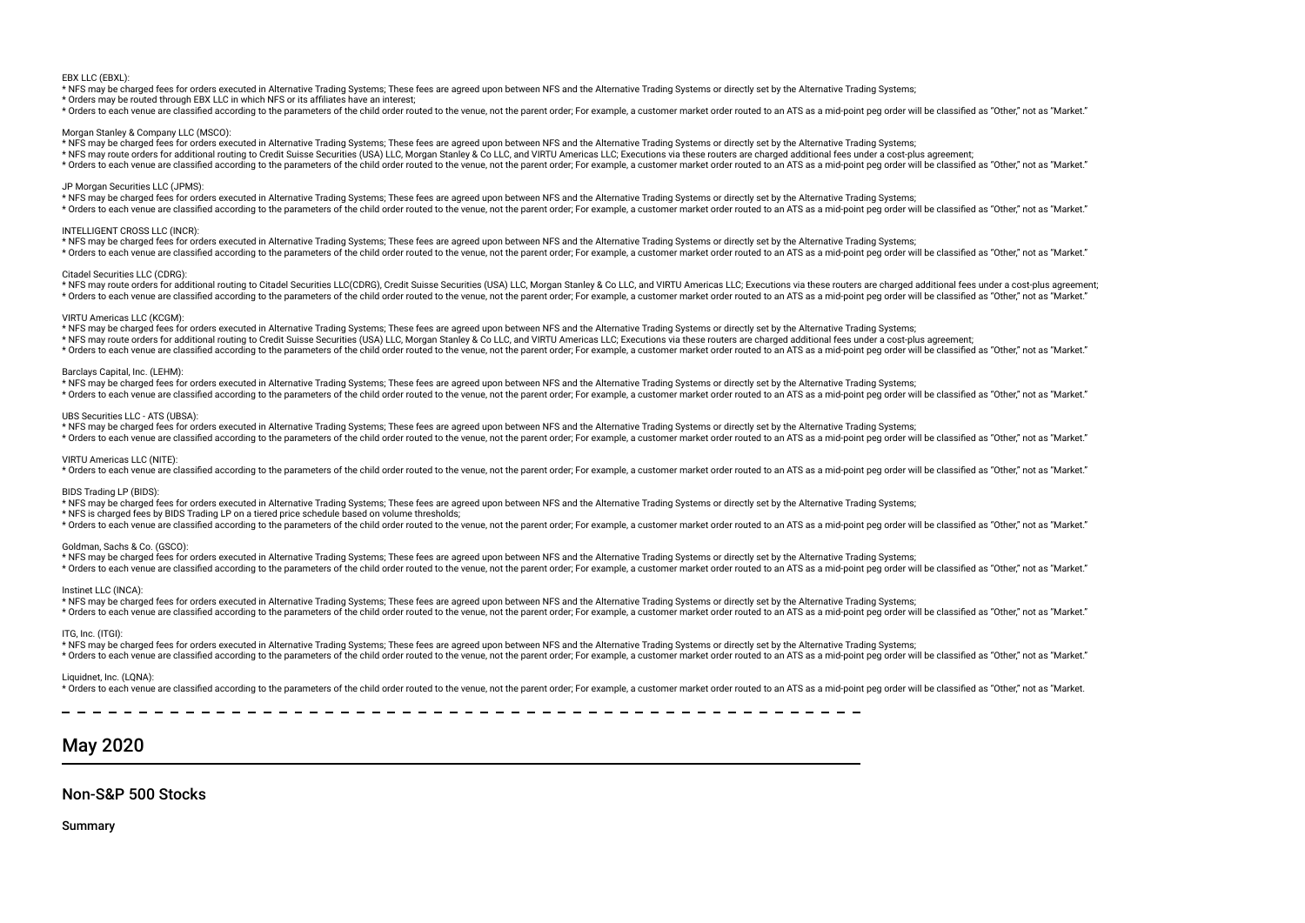#### EBX LLC (EBXL):

\* NFS may be charged fees for orders executed in Alternative Trading Systems; These fees are agreed upon between NFS and the Alternative Trading Systems or directly set by the Alternative Trading Systems;

\* Orders may be routed through EBX LLC in which NFS or its affliates have an interest;

\* Orders to each venue are classified according to the parameters of the child order routed to the venue, not the parent order. For example, a customer market order routed to an ATS as a mid-point ped order will be classif

#### Morgan Stanley & Company LLC (MSCO):

\* NFS may be charged fees for orders executed in Alternative Trading Systems; These fees are agreed upon between NFS and the Alternative Trading Systems or directly set by the Alternative Trading Systems;

\* NFS may route orders for additional routing to Credit Suisse Securities (USA) LLC, Morgan Stanley & Co LLC, and VIRTU Americas LLC; Executions via these routers are charged additional fees under a cost-plus agreement;

\* Orders to each venue are classified according to the parameters of the child order routed to the venue, not the parent order; For example, a customer market order routed to an ATS as a mid-point peg order will be classif

### JP Morgan Securities LLC (JPMS):

\* NFS may be charged fees for orders executed in Alternative Trading Systems; These fees are agreed upon between NFS and the Alternative Trading Systems or directly set by the Alternative Trading Systems;

\* Orders to each venue are classified according to the parameters of the child order routed to the venue, not the paramet or softe child order routed to an example, a customer market order routed to an ATS as a mid-point p

#### INTELLIGENT CROSS LLC (INCR):

\* NFS may be charged fees for orders executed in Alternative Trading Systems; These fees are agreed upon between NFS and the Alternative Trading Systems or directly set by the Alternative Trading Systems; \* Orders to each venue are classified according to the parameters of the child order routed to the venue, not the parent order. For example, a customer market order routed to an ATS as a mid-point peg order will be classif

#### Citadel Securities LLC (CDRG):

\* NFS may route orders for additional routing to Citadel Securities LLC(CDRG), Credit Suisse Securities (USA) LLC, Morgan Stanley & Co LLC, and VIRTU Americas LLC; Executions via these routers are charged additional fees u \* Orders to each venue are classified according to the parameters of the child order routed to the venue, not the parent order. For example, a customer market order routed to an ATS as a mid-point peg order will be classif

#### VIRTU Americas LLC (KCGM):

\* NFS may be charged fees for orders executed in Alternative Trading Systems; These fees are agreed upon between NFS and the Alternative Trading Systems or directly set by the Alternative Trading Systems;

\* NFS may route orders for additional routing to Credit Suisse Securities (USA) LLC, Morgan Stanley & Co LLC, and VIRTU Americas LLC; Executions via these routers are charged additional fees under a cost-plus agreement;

\* Orders to each venue are classified according to the parameters of the child order routed to the venue, not the parent order; For example, a customer market order routed to an ATS as a mid-point peg order will be classif

# Barclays Capital, Inc. (LEHM):

\* NFS may be charged fees for orders executed in Alternative Trading Systems; These fees are agreed upon between NFS and the Alternative Trading Systems or directly set by the Alternative Trading Systems;

\* Orders to each venue are classified according to the parameters of the child order routed to the venue, not the parent order. For example, a customer market order routed to an ATS as a mid-point peg order will be classif

### UBS Securities LLC - ATS (UBSA):

\* NFS may be charged fees for orders executed in Alternative Trading Systems; These fees are agreed upon between NFS and the Alternative Trading Systems or directly set by the Alternative Trading Systems;

\* Orders to each venue are classified according to the parameters of the child order routed to the venue, not the parent order; For example, a customer market order routed to an ATS as a mid-point peg order will be classif

# VIRTU Americas LLC (NITE):

\* Orders to each venue are classified according to the parameters of the child order routed to the venue, not the parent order. For example, a customer market order routed to an ATS as a mid-point peg order will be classif

#### BIDS Trading LP (BIDS)

\* NFS may be charged fees for orders executed in Alternative Trading Systems; These fees are agreed upon between NFS and the Alternative Trading Systems or directly set by the Alternative Trading Systems;

\* NFS is charged fees by BIDS Trading LP on a tiered price schedule based on volume thresholds;

\* Orders to each venue are classified according to the parameters of the child order routed to the venue, not the parent order; For example, a customer market order routed to an ATS as a mid-point peg order will be classif

### Goldman, Sachs & Co. (GSCO):

\* NFS may be charged fees for orders executed in Alternative Trading Systems; These fees are agreed upon between NFS and the Alternative Trading Systems or directly set by the Alternative Trading Systems;

\* Orders to each venue are classified according to the parameters of the child order routed to the venue, not the parent order; For example, a customer market order routed to an ATS as a mid-point peq order will be classif

### Instinet LLC (INCA):

\* NFS may be charged fees for orders executed in Alternative Trading Systems; These fees are agreed upon between NFS and the Alternative Trading Systems or directly set by the Alternative Trading Systems;

\* Orders to each venue are classified according to the parameters of the child order routed to the venue, not the parent order; For example, a customer market order routed to an ATS as a mid-point peq order will be classif

### ITG, Inc. (ITGI):

\* NFS may be charged fees for orders executed in Alternative Trading Systems; These fees are agreed upon between NFS and the Alternative Trading Systems or directly set by the Alternative Trading Systems; \* Orders to each venue are classified according to the parameters of the child order routed to the venue, not the parent order. For example, a customer market order routed to an ATS as a mid-point peg order will be classif

#### Liquidnet, Inc. (LONA):

\* Orders to each venue are classified according to the parameters of the child order routed to the venue, not the parent order. For example, a customer market order routed to an ATS as a mid-point peg order will be classif

# May 2020

# Non-S&P 500 Stocks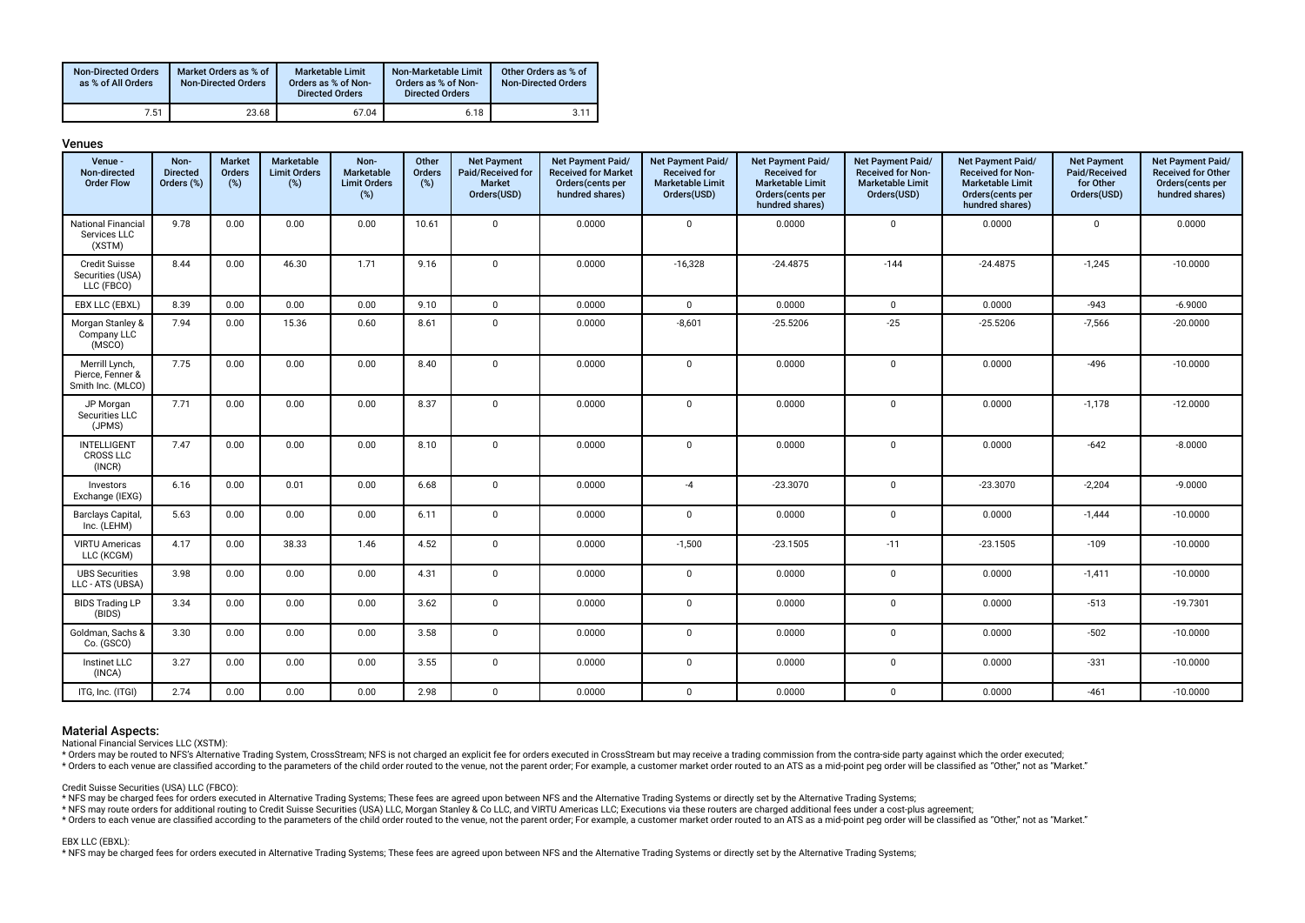| <b>Non-Directed Orders</b><br>as % of All Orders | Market Orders as % of<br><b>Non-Directed Orders</b> | Marketable Limit<br>Orders as % of Non-<br><b>Directed Orders</b> | Non-Marketable Limit<br>Orders as % of Non-<br><b>Directed Orders</b> | Other Orders as % of<br><b>Non-Directed Orders</b> |
|--------------------------------------------------|-----------------------------------------------------|-------------------------------------------------------------------|-----------------------------------------------------------------------|----------------------------------------------------|
| 7.51                                             | 23.68                                               | 67.04                                                             | 6.18                                                                  | 3.11                                               |

| <b>Venues</b>                                           |                                       |                                |                                          |                                                  |                        |                                                                         |                                                                                         |                                                                                    |                                                                                                            |                                                                                         |                                                                                                          |                                                                 |                                                                                       |
|---------------------------------------------------------|---------------------------------------|--------------------------------|------------------------------------------|--------------------------------------------------|------------------------|-------------------------------------------------------------------------|-----------------------------------------------------------------------------------------|------------------------------------------------------------------------------------|------------------------------------------------------------------------------------------------------------|-----------------------------------------------------------------------------------------|----------------------------------------------------------------------------------------------------------|-----------------------------------------------------------------|---------------------------------------------------------------------------------------|
| Venue -<br>Non-directed<br><b>Order Flow</b>            | Non-<br><b>Directed</b><br>Orders (%) | <b>Market</b><br>Orders<br>(%) | Marketable<br><b>Limit Orders</b><br>(%) | Non-<br>Marketable<br><b>Limit Orders</b><br>(%) | Other<br>Orders<br>(%) | <b>Net Payment</b><br>Paid/Received for<br><b>Market</b><br>Orders(USD) | Net Payment Paid/<br><b>Received for Market</b><br>Orders (cents per<br>hundred shares) | Net Payment Paid/<br><b>Received for</b><br><b>Marketable Limit</b><br>Orders(USD) | Net Payment Paid/<br><b>Received for</b><br><b>Marketable Limit</b><br>Orders(cents per<br>hundred shares) | Net Payment Paid/<br><b>Received for Non-</b><br><b>Marketable Limit</b><br>Orders(USD) | Net Payment Paid/<br>Received for Non-<br><b>Marketable Limit</b><br>Orders(cents per<br>hundred shares) | <b>Net Payment</b><br>Paid/Received<br>for Other<br>Orders(USD) | Net Payment Paid/<br><b>Received for Other</b><br>Orders(cents per<br>hundred shares) |
| <b>National Financial</b><br>Services LLC<br>(XSTM)     | 9.78                                  | 0.00                           | 0.00                                     | 0.00                                             | 10.61                  | $\mathbf 0$                                                             | 0.0000                                                                                  | $\mathbf 0$                                                                        | 0.0000                                                                                                     | $\mathbf 0$                                                                             | 0.0000                                                                                                   | $\mathbf 0$                                                     | 0.0000                                                                                |
| <b>Credit Suisse</b><br>Securities (USA)<br>LLC (FBCO)  | 8.44                                  | 0.00                           | 46.30                                    | 1.71                                             | 9.16                   | $\mathsf{O}$                                                            | 0.0000                                                                                  | $-16,328$                                                                          | $-24.4875$                                                                                                 | $-144$                                                                                  | $-24.4875$                                                                                               | $-1,245$                                                        | $-10.0000$                                                                            |
| EBX LLC (EBXL)                                          | 8.39                                  | 0.00                           | 0.00                                     | 0.00                                             | 9.10                   | $\mathbf 0$                                                             | 0.0000                                                                                  | $\mathbf 0$                                                                        | 0.0000                                                                                                     | $\mathbf 0$                                                                             | 0.0000                                                                                                   | $-943$                                                          | $-6.9000$                                                                             |
| Morgan Stanley &<br>Company LLC<br>(MSCO)               | 7.94                                  | 0.00                           | 15.36                                    | 0.60                                             | 8.61                   | $\mathbf 0$                                                             | 0.0000                                                                                  | $-8,601$                                                                           | $-25.5206$                                                                                                 | $-25$                                                                                   | $-25.5206$                                                                                               | $-7,566$                                                        | $-20.0000$                                                                            |
| Merrill Lynch,<br>Pierce, Fenner &<br>Smith Inc. (MLCO) | 7.75                                  | 0.00                           | 0.00                                     | 0.00                                             | 8.40                   | $\mathbf 0$                                                             | 0.0000                                                                                  | $\mathbf 0$                                                                        | 0.0000                                                                                                     | $\mathbf 0$                                                                             | 0.0000                                                                                                   | $-496$                                                          | $-10.0000$                                                                            |
| JP Morgan<br>Securities LLC<br>(JPMS)                   | 7.71                                  | 0.00                           | 0.00                                     | 0.00                                             | 8.37                   | $\mathbf 0$                                                             | 0.0000                                                                                  | 0                                                                                  | 0.0000                                                                                                     | $\overline{0}$                                                                          | 0.0000                                                                                                   | $-1,178$                                                        | $-12.0000$                                                                            |
| <b>INTELLIGENT</b><br><b>CROSS LLC</b><br>(INCR)        | 7.47                                  | 0.00                           | 0.00                                     | 0.00                                             | 8.10                   | $\mathbf 0$                                                             | 0.0000                                                                                  | $\mathbf 0$                                                                        | 0.0000                                                                                                     | $\mathbf 0$                                                                             | 0.0000                                                                                                   | $-642$                                                          | $-8.0000$                                                                             |
| Investors<br>Exchange (IEXG)                            | 6.16                                  | 0.00                           | 0.01                                     | 0.00                                             | 6.68                   | $\mathbf 0$                                                             | 0.0000                                                                                  | $-4$                                                                               | $-23.3070$                                                                                                 | $\mathbf 0$                                                                             | $-23.3070$                                                                                               | $-2,204$                                                        | $-9.0000$                                                                             |
| <b>Barclays Capital</b><br>Inc. (LEHM)                  | 5.63                                  | 0.00                           | 0.00                                     | 0.00                                             | 6.11                   | $\mathbf{0}$                                                            | 0.0000                                                                                  | $\mathbf 0$                                                                        | 0.0000                                                                                                     | $\overline{0}$                                                                          | 0.0000                                                                                                   | $-1,444$                                                        | $-10.0000$                                                                            |
| <b>VIRTU Americas</b><br>LLC (KCGM)                     | 4.17                                  | 0.00                           | 38.33                                    | 1.46                                             | 4.52                   | $\mathbf 0$                                                             | 0.0000                                                                                  | $-1,500$                                                                           | $-23.1505$                                                                                                 | $-11$                                                                                   | $-23.1505$                                                                                               | $-109$                                                          | $-10.0000$                                                                            |
| <b>UBS Securities</b><br>LLC - ATS (UBSA)               | 3.98                                  | 0.00                           | 0.00                                     | 0.00                                             | 4.31                   | $\mathbf 0$                                                             | 0.0000                                                                                  | $\mathbf 0$                                                                        | 0.0000                                                                                                     | $\mathbf 0$                                                                             | 0.0000                                                                                                   | $-1,411$                                                        | $-10.0000$                                                                            |
| <b>BIDS Trading LP</b><br>(BIDS)                        | 3.34                                  | 0.00                           | 0.00                                     | 0.00                                             | 3.62                   | $\mathbf 0$                                                             | 0.0000                                                                                  | $\mathbf 0$                                                                        | 0.0000                                                                                                     | $\overline{0}$                                                                          | 0.0000                                                                                                   | $-513$                                                          | $-19.7301$                                                                            |
| Goldman, Sachs &<br>Co. (GSCO)                          | 3.30                                  | 0.00                           | 0.00                                     | 0.00                                             | 3.58                   | $\mathsf{O}$                                                            | 0.0000                                                                                  | $\mathbf 0$                                                                        | 0.0000                                                                                                     | $\overline{0}$                                                                          | 0.0000                                                                                                   | $-502$                                                          | $-10.0000$                                                                            |
| Instinet LLC<br>(INCA)                                  | 3.27                                  | 0.00                           | 0.00                                     | 0.00                                             | 3.55                   | $\mathsf 0$                                                             | 0.0000                                                                                  | 0                                                                                  | 0.0000                                                                                                     | $\mathbf 0$                                                                             | 0.0000                                                                                                   | $-331$                                                          | $-10.0000$                                                                            |
| ITG, Inc. (ITGI)                                        | 2.74                                  | 0.00                           | 0.00                                     | 0.00                                             | 2.98                   | $\mathbf 0$                                                             | 0.0000                                                                                  | $\mathbf 0$                                                                        | 0.0000                                                                                                     | $\mathbf 0$                                                                             | 0.0000                                                                                                   | $-461$                                                          | $-10.0000$                                                                            |

National Financial Services LLC (XSTM):

\* Orders may be routed to NFS's Alternative Trading System, CrossStream; NFS is not charged an explicit fee for orders executed in CrossStream but may receive a trading commission from the contra-side party against which t

\* Orders to each venue are classified according to the parameters of the child order routed to the venue, not the parent order; For example, a customer market order routed to an ATS as a mid-point peg order will be classif

Credit Suisse Securities (USA) LLC (FBCO):

\* NFS may be charged fees for orders executed in Alternative Trading Systems; These fees are agreed upon between NFS and the Alternative Trading Systems or directly set by the Alternative Trading Systems;

\* NFS may route orders for additional routing to Credit Suisse Securities (USA) LLC, Morgan Stanley & Co LLC, and VIRTU Americas LLC; Executions via these routers are charged additional fees under a cost-plus agreement;

to relation the cass of the condition of the parameters of the child order routed to the venue, not the parent order, For example, a customer market order routed to an ATS as a mid-point peg order will be classified as "Ot

### EBX LLC (EBXL):

\* NFS may be charged fees for orders executed in Alternative Trading Systems; These fees are agreed upon between NFS and the Alternative Trading Systems or directly set by the Alternative Trading Systems;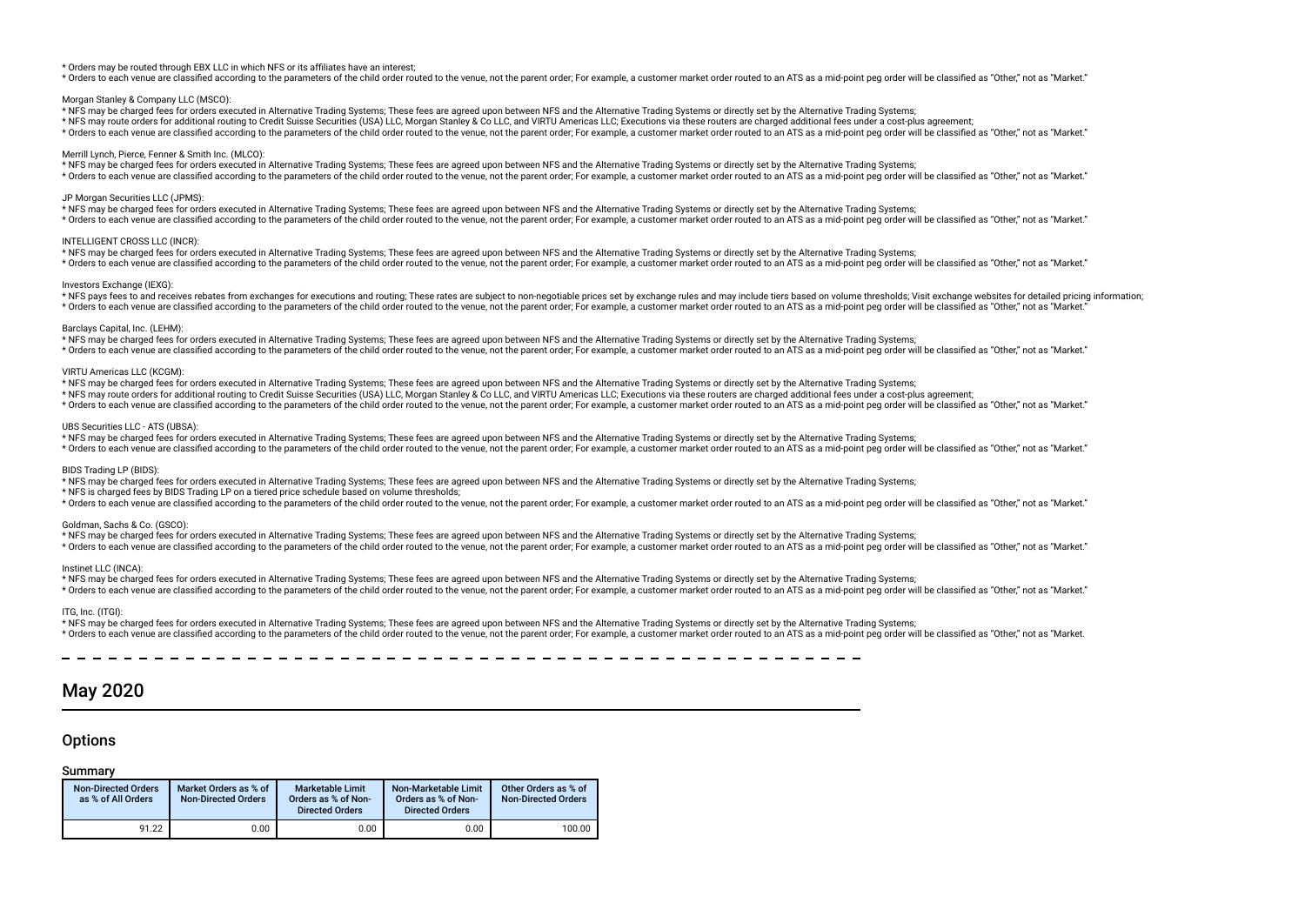#### \* Orders may be routed through EBX LLC in which NFS or its affliates have an interest;

\* Orders to each venue are classified according to the parameters of the child order routed to the venue, not the parent order; For example, a customer market order routed to an ATS as a mid-point peq order will be classif

#### Morgan Stanley & Company LLC (MSCO):

\* NFS may be charged fees for orders executed in Alternative Trading Systems; These fees are agreed upon between NFS and the Alternative Trading Systems or directly set by the Alternative Trading Systems;

\* NFS may route orders for additional routing to Credit Suisse Securities (USA) LLC, Morgan Stanley & Co LLC, and VIRTU Americas LLC; Executions via these routers are charged additional fees under a cost-plus agreement;

\* Orders to each venue are classified according to the parameters of the child order routed to the venue, not the parent order. For example, a customer market order routed to an ATS as a mid-point peg order will be classif

#### Merrill Lynch, Pierce, Fenner & Smith Inc. (MLCO):

\* NFS may be charged fees for orders executed in Alternative Trading Systems; These fees are agreed upon between NFS and the Alternative Trading Systems or directly set by the Alternative Trading Systems;

\* Orders to each venue are classified according to the parameters of the child order routed to the venue, not the parent order; For example, a customer market order routed to an ATS as a mid-point peg order will be classif

## JP Morgan Securities LLC (JPMS):

\* NFS may be charged fees for orders executed in Alternative Trading Systems; These fees are agreed upon between NFS and the Alternative Trading Systems or directly set by the Alternative Trading Systems; \* Orders to each venue are classified according to the parameters of the child order routed to the venue, not the parent order; For example, a customer market order routed to an ATS as a mid-point peg order will be classif

#### INTELLIGENT CROSS LLC (INCR):

\* NFS may be charged fees for orders executed in Alternative Trading Systems; These fees are agreed upon between NFS and the Alternative Trading Systems or directly set by the Alternative Trading Systems; \* Orders to each venue are classified according to the parameters of the child order routed to the venue, not the parent order. For example, a customer market order routed to an ATS as a mid-point peg order will be classif

#### Investors Exchange (IEXG):

\* NFS pays fees to and receives rebates from exchanges for executions and routing: These rates are subject to non-negotiable prices set by exchange rules and may include tiers based on yolume thresholds: Visit exchange web \* Orders to each venue are classified according to the parameters of the child order routed to the venue, not the parent order; For example, a customer market order routed to an ATS as a mid-point peg order will be classif

#### Barclays Capital, Inc. (LEHM):

\* NFS may be charged fees for orders executed in Alternative Trading Systems; These fees are agreed upon between NFS and the Alternative Trading Systems or directly set by the Alternative Trading Systems; \* Orders to each venue are classified according to the parameters of the child order routed to the venue, not the parent order; For example, a customer market order routed to an ATS as a mid-point peq order will be classif

#### VIRTU Americas LLC (KCGM):

\* NFS may be charged fees for orders executed in Alternative Trading Systems; These fees are agreed upon between NFS and the Alternative Trading Systems or directly set by the Alternative Trading Systems;

\* NFS may route orders for additional routing to Credit Suisse Securities (USA) LLC, Morgan Stanley & Co LLC, and VIRTU Americas LLC; Executions via these routers are charged additional fees under a cost-plus agreement;

\* Orders to each venue are classified according to the parameters of the child order routed to the venue, not the parent order; For example, a customer market order routed to an ATS as a mid-point peg order will be classif

#### UBS Securities LLC - ATS (UBSA):

\* NFS may be charged fees for orders executed in Alternative Trading Systems; These fees are agreed upon between NFS and the Alternative Trading Systems or directly set by the Alternative Trading Systems;

\* Orders to each venue are classified according to the parameters of the child order routed to the venue, not the parent order; For example, a customer market order routed to an ATS as a mid-point peq order will be classif

#### BIDS Trading LP (BIDS):

\* NFS may be charged fees for orders executed in Alternative Trading Systems; These fees are agreed upon between NFS and the Alternative Trading Systems or directly set by the Alternative Trading Systems;

\* NFS is charged fees by BIDS Trading LP on a tiered price schedule based on volume thresholds;

\* Orders to each venue are classified according to the parameters of the child order routed to the venue, not the parent order; For example, a customer market order routed to an ATS as a mid-point peq order will be classif

#### Goldman, Sachs & Co. (GSCO):

\* NFS may be charged fees for orders executed in Alternative Trading Systems; These fees are agreed upon between NFS and the Alternative Trading Systems or directly set by the Alternative Trading Systems;

\* Orders to each venue are classified according to the parameters of the child order routed to the venue, not the parent order; For example, a customer market order routed to an ATS as a mid-point peq order will be classif

# Instinet LLC (INCA):

\* NFS may be charged fees for orders executed in Alternative Trading Systems; These fees are agreed upon between NFS and the Alternative Trading Systems or directly set by the Alternative Trading Systems;

\* Orders to each venue are classified according to the parameters of the child order routed to the venue, not the parent order; For example, a customer market order routed to an ATS as a mid-point peg order will be classif

#### ITG, Inc. (ITGI):

\* NFS may be charged fees for orders executed in Alternative Trading Systems; These fees are agreed upon between NFS and the Alternative Trading Systems or directly set by the Alternative Trading Systems; \* Orders to each venue are classified according to the parameters of the child order routed to the venue, not the parent order; For example, a customer market order routed to an ATS as a mid-point peg order will be classif

# May 2020

# **Options**

| <b>Non-Directed Orders</b><br>as % of All Orders | Market Orders as % of<br><b>Non-Directed Orders</b> | <b>Marketable Limit</b><br>Orders as % of Non-<br><b>Directed Orders</b> | Non-Marketable Limit<br>Orders as % of Non-<br><b>Directed Orders</b> | Other Orders as % of<br><b>Non-Directed Orders</b> |
|--------------------------------------------------|-----------------------------------------------------|--------------------------------------------------------------------------|-----------------------------------------------------------------------|----------------------------------------------------|
| 91.22                                            | $0.00\,$                                            | 0.00                                                                     | 0.00                                                                  | 100.00                                             |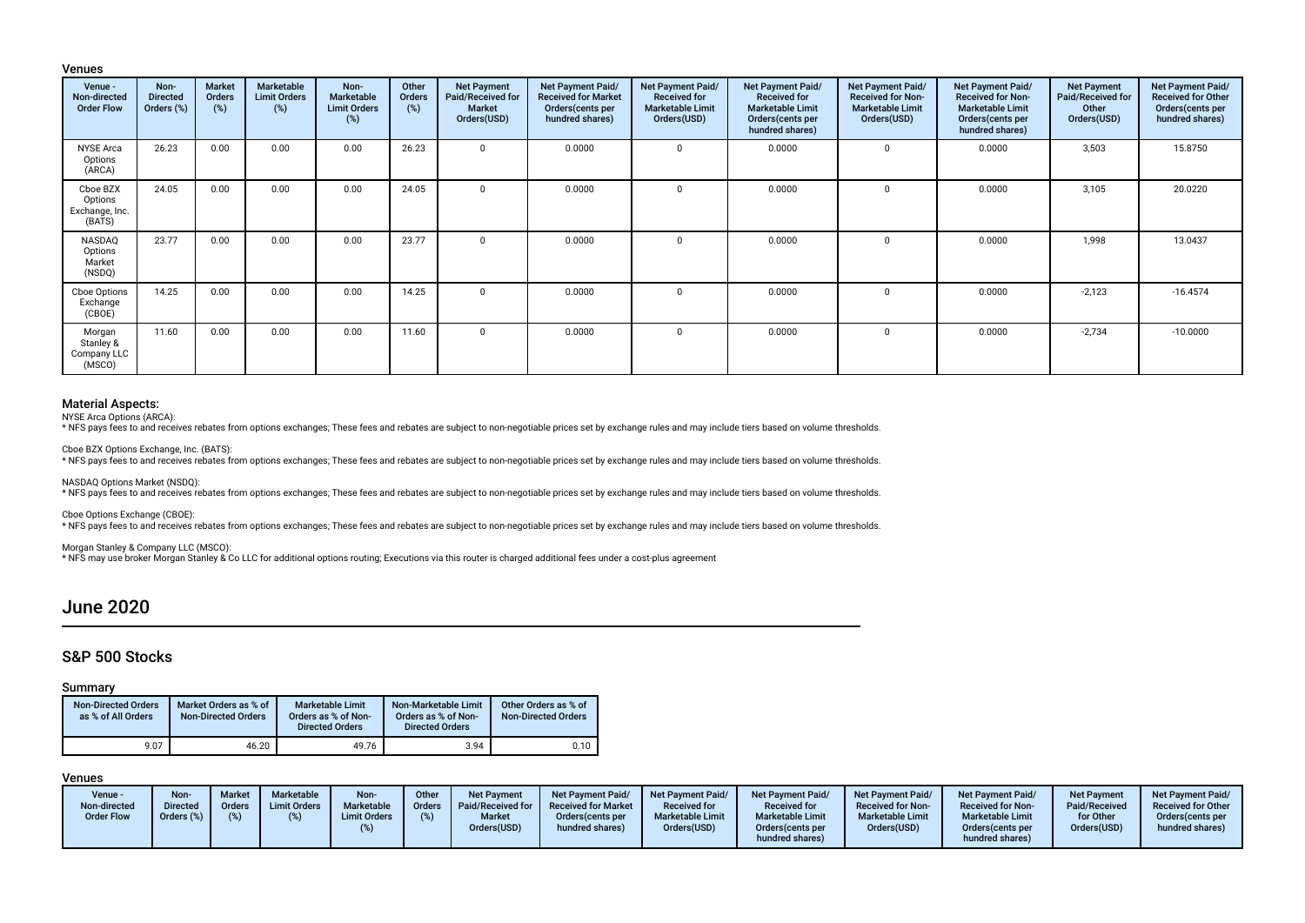# Venues

| Venue -<br>Non-directed<br><b>Order Flow</b>    | Non-<br><b>Directed</b><br>Orders (%) | <b>Market</b><br><b>Orders</b><br>$(\%)$ | Marketable<br><b>Limit Orders</b><br>(%) | Non-<br>Marketable<br><b>Limit Orders</b><br>(%) | Other<br><b>Orders</b><br>(%) | <b>Net Payment</b><br>Paid/Received for<br><b>Market</b><br>Orders(USD) | Net Payment Paid/<br><b>Received for Market</b><br>Orders (cents per<br>hundred shares) | Net Payment Paid/<br><b>Received for</b><br><b>Marketable Limit</b><br>Orders(USD) | Net Payment Paid/<br><b>Received for</b><br><b>Marketable Limit</b><br>Orders(cents per<br>hundred shares) | <b>Net Payment Paid/</b><br><b>Received for Non-</b><br><b>Marketable Limit</b><br>Orders(USD) | Net Payment Paid/<br><b>Received for Non-</b><br><b>Marketable Limit</b><br>Orders (cents per<br>hundred shares) | <b>Net Payment</b><br>Paid/Received for<br>Other<br>Orders(USD) | Net Payment Paid/<br><b>Received for Other</b><br>Orders (cents per<br>hundred shares) |
|-------------------------------------------------|---------------------------------------|------------------------------------------|------------------------------------------|--------------------------------------------------|-------------------------------|-------------------------------------------------------------------------|-----------------------------------------------------------------------------------------|------------------------------------------------------------------------------------|------------------------------------------------------------------------------------------------------------|------------------------------------------------------------------------------------------------|------------------------------------------------------------------------------------------------------------------|-----------------------------------------------------------------|----------------------------------------------------------------------------------------|
| <b>NYSE Arca</b><br>Options<br>(ARCA)           | 26.23                                 | 0.00                                     | 0.00                                     | 0.00                                             | 26.23                         |                                                                         | 0.0000                                                                                  |                                                                                    | 0.0000                                                                                                     | $\Omega$                                                                                       | 0.0000                                                                                                           | 3,503                                                           | 15.8750                                                                                |
| Cboe BZX<br>Options<br>Exchange, Inc.<br>(BATS) | 24.05                                 | 0.00                                     | 0.00                                     | 0.00                                             | 24.05                         | $\Omega$                                                                | 0.0000                                                                                  | $\Omega$                                                                           | 0.0000                                                                                                     | 0                                                                                              | 0.0000                                                                                                           | 3,105                                                           | 20.0220                                                                                |
| NASDAQ<br>Options<br>Market<br>(NSDQ)           | 23.77                                 | 0.00                                     | 0.00                                     | 0.00                                             | 23.77                         |                                                                         | 0.0000                                                                                  |                                                                                    | 0.0000                                                                                                     | $\Omega$                                                                                       | 0.0000                                                                                                           | 1,998                                                           | 13.0437                                                                                |
| Cboe Options<br>Exchange<br>(CBOE)              | 14.25                                 | 0.00                                     | 0.00                                     | 0.00                                             | 14.25                         | $\Omega$                                                                | 0.0000                                                                                  | ŋ                                                                                  | 0.0000                                                                                                     | $\Omega$                                                                                       | 0.0000                                                                                                           | $-2,123$                                                        | $-16.4574$                                                                             |
| Morgan<br>Stanley &<br>Company LLC<br>(MSCO)    | 11.60                                 | 0.00                                     | 0.00                                     | 0.00                                             | 11.60                         |                                                                         | 0.0000                                                                                  |                                                                                    | 0.0000                                                                                                     | $\Omega$                                                                                       | 0.0000                                                                                                           | $-2,734$                                                        | $-10.0000$                                                                             |

# Material Aspects:

NYSE Arca Options (ARCA):

\* NFS pays fees to and receives rebates from options exchanges; These fees and rebates are subject to non-negotiable prices set by exchange rules and may include tiers based on volume thresholds.

Cboe BZX Options Exchange, Inc. (BATS):<br>\* NFS pays fees to and receives rebates from options exchanges; These fees and rebates are subject to non-negotiable prices set by exchange rules and may include tiers based on volum

NASDAQ Options Market (NSDQ):

\* NFS pays fees to and receives rebates from options exchanges; These fees and rebates are subject to non-negotiable prices set by exchange rules and may include tiers based on volume thresholds.

Cboe Options Exchange (CBOE):<br>\* NFS pays fees to and receives rebates from options exchanges; These fees and rebates are subject to non-negotiable prices set by exchange rules and may include tiers based on volume threshol

Morgan Stanley & Company LLC (MSCO):

\* NFS may use broker Morgan Stanley & Co LLC for additional options routing; Executions via this router is charged additional fees under a cost-plus agreement

# June 2020

# S&P 500 Stocks

# Summary

| <b>Non-Directed Orders</b><br>as % of All Orders | Market Orders as % of<br><b>Non-Directed Orders</b> | <b>Marketable Limit</b><br>Orders as % of Non-<br><b>Directed Orders</b> | Non-Marketable Limit<br>Orders as % of Non-<br><b>Directed Orders</b> | Other Orders as % of<br><b>Non-Directed Orders</b> |
|--------------------------------------------------|-----------------------------------------------------|--------------------------------------------------------------------------|-----------------------------------------------------------------------|----------------------------------------------------|
| 9.07                                             | 46.20                                               | 49.76                                                                    | 3.94                                                                  | 0.10                                               |

| Venue -<br>Non-directed<br><b>Order Flow</b> | Non-<br><b>Directed</b><br>Orders (%) | <b>Market</b><br>Orders | Marketable<br><b>Limit Orders</b> | Non-<br><b>Marketable</b><br><b>Limit Orders</b> | Other<br><b>Orders</b> | Net Payment<br>Paid/Received for<br><b>Market</b><br>Orders(USD) | <b>Net Payment Paid/</b><br><b>Received for Market</b><br>Orders (cents per<br>hundred shares) | Net Payment Paid<br><b>Received for</b><br><b>Marketable Limit</b><br>Orders(USD) | <b>Net Payment Paid/</b><br><b>Received for</b><br><b>Marketable Limit</b><br>Orders (cents per<br>hundred shares) | <b>Net Payment Paid/</b><br><b>Received for Non-</b><br><b>Marketable Limit</b><br>Orders(USD) | Net Payment Paid/<br><b>Received for Non-</b><br><b>Marketable Limit</b><br>Orders(cents per<br>hundred shares) | Net Payment<br>Paid/Received<br>for Other<br>Orders(USD) | <b>Net Payment Paid/</b><br><b>Received for Other</b><br>Orders(cents per<br>hundred shares) |
|----------------------------------------------|---------------------------------------|-------------------------|-----------------------------------|--------------------------------------------------|------------------------|------------------------------------------------------------------|------------------------------------------------------------------------------------------------|-----------------------------------------------------------------------------------|--------------------------------------------------------------------------------------------------------------------|------------------------------------------------------------------------------------------------|-----------------------------------------------------------------------------------------------------------------|----------------------------------------------------------|----------------------------------------------------------------------------------------------|
|----------------------------------------------|---------------------------------------|-------------------------|-----------------------------------|--------------------------------------------------|------------------------|------------------------------------------------------------------|------------------------------------------------------------------------------------------------|-----------------------------------------------------------------------------------|--------------------------------------------------------------------------------------------------------------------|------------------------------------------------------------------------------------------------|-----------------------------------------------------------------------------------------------------------------|----------------------------------------------------------|----------------------------------------------------------------------------------------------|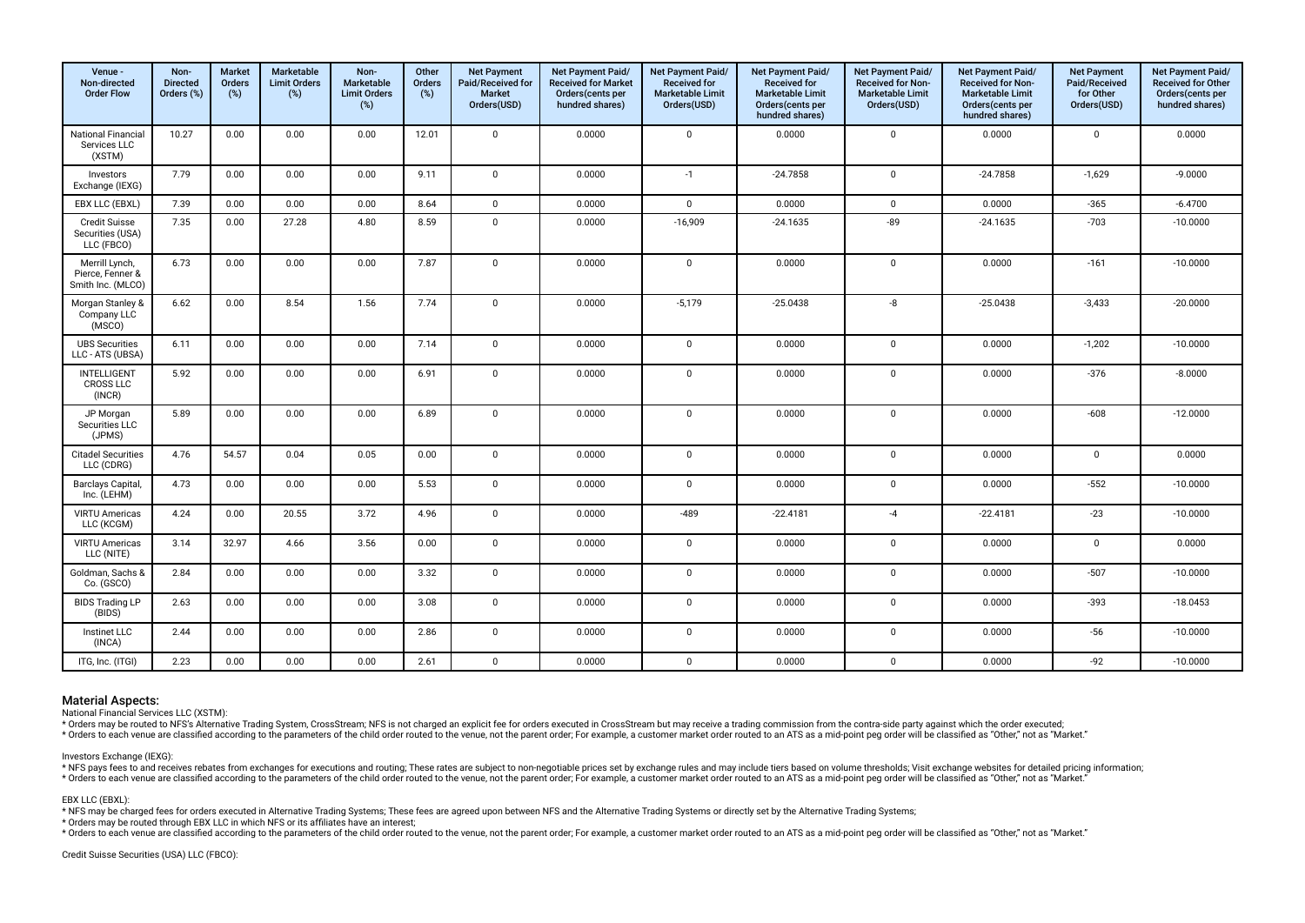| Venue -<br>Non-directed<br><b>Order Flow</b>            | Non-<br><b>Directed</b><br>Orders (%) | <b>Market</b><br><b>Orders</b><br>(%) | Marketable<br><b>Limit Orders</b><br>(%) | Non-<br><b>Marketable</b><br><b>Limit Orders</b><br>(%) | Other<br>Orders<br>$(\%)$ | <b>Net Payment</b><br>Paid/Received for<br><b>Market</b><br>Orders(USD) | <b>Net Payment Paid/</b><br><b>Received for Market</b><br>Orders(cents per<br>hundred shares) | <b>Net Payment Paid/</b><br><b>Received for</b><br><b>Marketable Limit</b><br>Orders(USD) | <b>Net Payment Paid/</b><br><b>Received for</b><br><b>Marketable Limit</b><br>Orders (cents per<br>hundred shares) | Net Payment Paid/<br>Received for Non-<br><b>Marketable Limit</b><br>Orders(USD) | Net Payment Paid/<br>Received for Non-<br><b>Marketable Limit</b><br>Orders (cents per<br>hundred shares) | <b>Net Payment</b><br>Paid/Received<br>for Other<br>Orders(USD) | Net Payment Paid/<br><b>Received for Other</b><br>Orders(cents per<br>hundred shares) |
|---------------------------------------------------------|---------------------------------------|---------------------------------------|------------------------------------------|---------------------------------------------------------|---------------------------|-------------------------------------------------------------------------|-----------------------------------------------------------------------------------------------|-------------------------------------------------------------------------------------------|--------------------------------------------------------------------------------------------------------------------|----------------------------------------------------------------------------------|-----------------------------------------------------------------------------------------------------------|-----------------------------------------------------------------|---------------------------------------------------------------------------------------|
| <b>National Financial</b><br>Services LLC<br>(XSTM)     | 10.27                                 | 0.00                                  | 0.00                                     | 0.00                                                    | 12.01                     | $\mathbf 0$                                                             | 0.0000                                                                                        | $\mathbf 0$                                                                               | 0.0000                                                                                                             | $\mathbf 0$                                                                      | 0.0000                                                                                                    | $\mathbf 0$                                                     | 0.0000                                                                                |
| Investors<br>Exchange (IEXG)                            | 7.79                                  | 0.00                                  | 0.00                                     | 0.00                                                    | 9.11                      | $\mathbf 0$                                                             | 0.0000                                                                                        | $-1$                                                                                      | $-24.7858$                                                                                                         | $\mathbf 0$                                                                      | $-24.7858$                                                                                                | $-1,629$                                                        | $-9.0000$                                                                             |
| EBX LLC (EBXL)                                          | 7.39                                  | 0.00                                  | 0.00                                     | 0.00                                                    | 8.64                      | $\mathbf 0$                                                             | 0.0000                                                                                        | $\mathbf 0$                                                                               | 0.0000                                                                                                             | $\mathbf 0$                                                                      | 0.0000                                                                                                    | $-365$                                                          | $-6.4700$                                                                             |
| <b>Credit Suisse</b><br>Securities (USA)<br>LLC (FBCO)  | 7.35                                  | 0.00                                  | 27.28                                    | 4.80                                                    | 8.59                      | $\mathsf 0$                                                             | 0.0000                                                                                        | $-16,909$                                                                                 | $-24.1635$                                                                                                         | $-89$                                                                            | $-24.1635$                                                                                                | $-703$                                                          | $-10.0000$                                                                            |
| Merrill Lynch,<br>Pierce, Fenner &<br>Smith Inc. (MLCO) | 6.73                                  | 0.00                                  | 0.00                                     | 0.00                                                    | 7.87                      | $\mathbf 0$                                                             | 0.0000                                                                                        | $\Omega$                                                                                  | 0.0000                                                                                                             | $\mathbf 0$                                                                      | 0.0000                                                                                                    | $-161$                                                          | $-10.0000$                                                                            |
| Morgan Stanley &<br>Company LLC<br>(MSCO)               | 6.62                                  | 0.00                                  | 8.54                                     | 1.56                                                    | 7.74                      | 0                                                                       | 0.0000                                                                                        | $-5,179$                                                                                  | $-25.0438$                                                                                                         | -8                                                                               | $-25.0438$                                                                                                | $-3,433$                                                        | $-20.0000$                                                                            |
| <b>UBS Securities</b><br>LLC - ATS (UBSA)               | 6.11                                  | 0.00                                  | 0.00                                     | 0.00                                                    | 7.14                      | $\mathsf{O}$                                                            | 0.0000                                                                                        | $\mathbf 0$                                                                               | 0.0000                                                                                                             | $\mathbf 0$                                                                      | 0.0000                                                                                                    | $-1,202$                                                        | $-10.0000$                                                                            |
| INTELLIGENT<br><b>CROSS LLC</b><br>(INCR)               | 5.92                                  | 0.00                                  | 0.00                                     | 0.00                                                    | 6.91                      | $\mathbf 0$                                                             | 0.0000                                                                                        | $\mathbf 0$                                                                               | 0.0000                                                                                                             | $\mathbf 0$                                                                      | 0.0000                                                                                                    | $-376$                                                          | $-8.0000$                                                                             |
| JP Morgan<br>Securities LLC<br>(JPMS)                   | 5.89                                  | 0.00                                  | 0.00                                     | 0.00                                                    | 6.89                      | $\mathsf 0$                                                             | 0.0000                                                                                        | $\mathbf 0$                                                                               | 0.0000                                                                                                             | $\mathbf 0$                                                                      | 0.0000                                                                                                    | $-608$                                                          | $-12.0000$                                                                            |
| <b>Citadel Securities</b><br>LLC (CDRG)                 | 4.76                                  | 54.57                                 | 0.04                                     | 0.05                                                    | 0.00                      | $\mathbf 0$                                                             | 0.0000                                                                                        | $\mathbf 0$                                                                               | 0.0000                                                                                                             | $\mathbf 0$                                                                      | 0.0000                                                                                                    | $\mathbf 0$                                                     | 0.0000                                                                                |
| Barclays Capital,<br>Inc. (LEHM)                        | 4.73                                  | 0.00                                  | 0.00                                     | 0.00                                                    | 5.53                      | $\mathsf 0$                                                             | 0.0000                                                                                        | $\mathbf 0$                                                                               | 0.0000                                                                                                             | $\mathbf 0$                                                                      | 0.0000                                                                                                    | $-552$                                                          | $-10.0000$                                                                            |
| <b>VIRTU Americas</b><br>LLC (KCGM)                     | 4.24                                  | 0.00                                  | 20.55                                    | 3.72                                                    | 4.96                      | $\mathbf 0$                                                             | 0.0000                                                                                        | $-489$                                                                                    | $-22.4181$                                                                                                         | $-4$                                                                             | $-22.4181$                                                                                                | $-23$                                                           | $-10.0000$                                                                            |
| <b>VIRTU Americas</b><br>LLC (NITE)                     | 3.14                                  | 32.97                                 | 4.66                                     | 3.56                                                    | 0.00                      | $\mathbf 0$                                                             | 0.0000                                                                                        | $\mathbf 0$                                                                               | 0.0000                                                                                                             | $\mathbf 0$                                                                      | 0.0000                                                                                                    | $\mathbf 0$                                                     | 0.0000                                                                                |
| Goldman, Sachs &<br>Co. (GSCO)                          | 2.84                                  | 0.00                                  | 0.00                                     | 0.00                                                    | 3.32                      | $\mathbf 0$                                                             | 0.0000                                                                                        | $\mathbf 0$                                                                               | 0.0000                                                                                                             | $\mathbf 0$                                                                      | 0.0000                                                                                                    | $-507$                                                          | $-10.0000$                                                                            |
| <b>BIDS Trading LP</b><br>(BIDS)                        | 2.63                                  | 0.00                                  | 0.00                                     | 0.00                                                    | 3.08                      | $\mathbf 0$                                                             | 0.0000                                                                                        | $\mathbf 0$                                                                               | 0.0000                                                                                                             | $\mathbf 0$                                                                      | 0.0000                                                                                                    | $-393$                                                          | $-18.0453$                                                                            |
| Instinet LLC<br>(INCA)                                  | 2.44                                  | 0.00                                  | 0.00                                     | 0.00                                                    | 2.86                      | $\mathbf 0$                                                             | 0.0000                                                                                        | $\mathbf 0$                                                                               | 0.0000                                                                                                             | $\mathbf 0$                                                                      | 0.0000                                                                                                    | $-56$                                                           | $-10.0000$                                                                            |
| ITG, Inc. (ITGI)                                        | 2.23                                  | 0.00                                  | 0.00                                     | 0.00                                                    | 2.61                      | $\mathbf 0$                                                             | 0.0000                                                                                        | $\mathbf 0$                                                                               | 0.0000                                                                                                             | $\mathbf 0$                                                                      | 0.0000                                                                                                    | $-92$                                                           | $-10.0000$                                                                            |

National Financial Services LLC (XSTM):

\* Orders may be routed to NFS's Alternative Trading System, CrossStream; NFS is not charged an explicit fee for orders executed in CrossStream but may receive a trading commission from the contra-side party against which t

#### Investors Exchange (IEXG):

\* NFS pays fees to and receives rebates from exchanges for executions and routing; These rates are subject to non-negotiable prices set by exchange rules and may include tiers based on volume thresholds; Visit exchange web \* Orders to each venue are classified according to the parameters of the child order routed to the venue, not the parent order; For example, a customer market order routed to an ATS as a mid-point peg order will be classif

#### EBX LLC (EBXL):

\* NFS may be charged fees for orders executed in Alternative Trading Systems; These fees are agreed upon between NFS and the Alternative Trading Systems or directly set by the Alternative Trading Systems;

\* Orders may be routed through EBX LLC in which NFS or its affliates have an interest;

\* Orders to each venue are classified according to the parameters of the child order routed to the venue, not the parent order; For example, a customer market order routed to an ATS as a mid-point peg order will be classif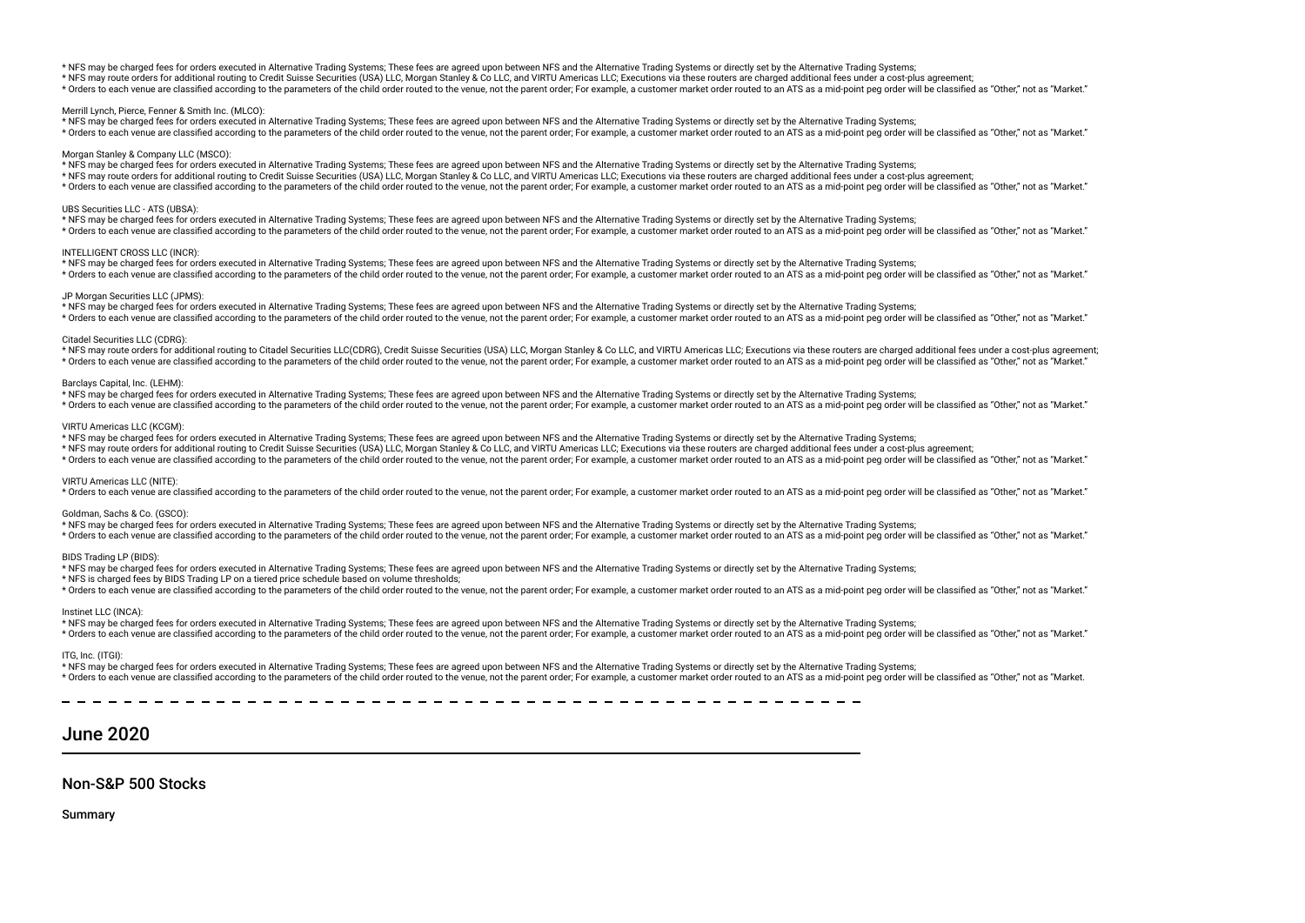#### \* NFS may be charged fees for orders executed in Alternative Trading Systems; These fees are agreed upon between NFS and the Alternative Trading Systems or directly set by the Alternative Trading Systems;

\* NFS may route orders for additional routing to Credit Suisse Securities (USA) LLC, Morgan Stanley & Co LLC, and VIRTU Americas LLC; Executions via these routers are charged additional fees under a cost-plus agreement;

\* Orders to each venue are classified according to the parameters of the child order routed to the venue, not the parent order. For example, a customer market order routed to an ATS as a mid-point peg order will be classif

### Merrill Lynch, Pierce, Fenner & Smith Inc. (MLCO):

\* NFS may be charged fees for orders executed in Alternative Trading Systems; These fees are agreed upon between NFS and the Alternative Trading Systems or directly set by the Alternative Trading Systems; \* Orders to each venue are classified according to the parameters of the child order routed to the venue, not the parent order. For example, a customer market order routed to an ATS as a mid-point peg order will be classif

#### Morgan Stanley & Company LLC (MSCO):

\* NFS may be charged fees for orders executed in Alternative Trading Systems; These fees are agreed upon between NFS and the Alternative Trading Systems or directly set by the Alternative Trading Systems;

\* NFS may route orders for additional routing to Credit Suisse Securities (USA) LLC, Morgan Stanley & Co LLC, and VIRTU Americas LLC; Executions via these routers are charged additional fees under a cost-plus agreement;

\* Orders to each venue are classified according to the parameters of the child order routed to the venue, not the parent order; For example, a customer market order routed to an ATS as a mid-point peg order will be classif

#### UBS Securities LLC - ATS (UBSA):

\* NFS may be charged fees for orders executed in Alternative Trading Systems; These fees are agreed upon between NFS and the Alternative Trading Systems or directly set by the Alternative Trading Systems; \* Orders to each venue are classified according to the parameters of the child order routed to the venue, not the parent order. For example, a customer market order routed to an ATS as a mid-point peg order will be classif

#### INTELLIGENT CROSS LLC (INCR):

\* NFS may be charged fees for orders executed in Alternative Trading Systems; These fees are agreed upon between NFS and the Alternative Trading Systems or directly set by the Alternative Trading Systems;

\* Orders to each venue are classified according to the parameters of the child order routed to the venue, not the parent order. For example, a customer market order routed to an ATS as a mid-point peg order will be classif

#### JP Morgan Securities LLC (JPMS):

\* NFS may be charged fees for orders executed in Alternative Trading Systems; These fees are agreed upon between NFS and the Alternative Trading Systems or directly set by the Alternative Trading Systems; \* Orders to each venue are classified according to the parameters of the child order routed to the yenue not the narent order. For example a customer market order routed to an ATS as a mid-point neg order will be classifie

#### Citadel Securities LLC (CDRG):

\* NFS may route orders for additional routing to Citadel Securities LLC(CDRG), Credit Suisse Securities (USA) LLC, Morgan Stanley & Co LLC, and VIRTU Americas LLC; Executions via these routers are charged additional fees u \* Orders to each venue are classified according to the parameters of the child order routed to the venue, not the parent order; For example, a customer market order routed to an ATS as a mid-point peq order will be classif

#### Barclays Capital, Inc. (LEHM):

\* NFS may be charged fees for orders executed in Alternative Trading Systems; These fees are agreed upon between NFS and the Alternative Trading Systems or directly set by the Alternative Trading Systems; \* Orders to each venue are classified according to the parameters of the child order routed to the venue, not the parent order; For example, a customer market order routed to an ATS as a mid-point peg order will be classif

#### VIRTU Americas LLC (KCGM):

\* NFS may be charged fees for orders executed in Alternative Trading Systems; These fees are agreed upon between NFS and the Alternative Trading Systems or directly set by the Alternative Trading Systems;

\* NFS may route orders for additional routing to Credit Suisse Securities (USA) LLC, Morgan Stanley & Co LLC, and VIRTU Americas LLC; Executions via these routers are charged additional fees under a cost-plus agreement;

\* Orders to each venue are classified according to the parameters of the child order routed to the yenue not the parent order. For example a customer market order routed to an ATS as a mid-point peq order will be classifie

#### VIRTU Americas LLC (NITE):

\* Orders to each venue are classified according to the parameters of the child order routed to the venue, not the parent order; For example, a customer market order routed to an ATS as a mid-point peg order will be classif

#### Goldman, Sachs & Co. (GSCO):

\* NFS may be charged fees for orders executed in Alternative Trading Systems; These fees are agreed upon between NFS and the Alternative Trading Systems or directly set by the Alternative Trading Systems;

\* Orders to each venue are classified according to the parameters of the child order routed to the venue, not the parent order; For example, a customer market order routed to an ATS as a mid-point peg order will be classif

#### BIDS Trading LP (BIDS):

\* NFS may be charged fees for orders executed in Alternative Trading Systems; These fees are agreed upon between NFS and the Alternative Trading Systems or directly set by the Alternative Trading Systems;

\* NFS is charged fees by BIDS Trading LP on a tiered price schedule based on volume thresholds;

\* Orders to each venue are classified according to the parameters of the child order routed to the venue, not the parent order; For example, a customer market order routed to an ATS as a mid-point peq order will be classif

#### Instinet LLC (INCA):

\* NFS may be charged fees for orders executed in Alternative Trading Systems; These fees are agreed upon between NFS and the Alternative Trading Systems or directly set by the Alternative Trading Systems; \* Orders to each venue are classified according to the parameters of the child order routed to the venue, not the parent order; For example, a customer market order routed to an ATS as a mid-point peq order will be classif

#### ITG, Inc. (ITGI):

\* NFS may be charged fees for orders executed in Alternative Trading Systems; These fees are agreed upon between NFS and the Alternative Trading Systems or directly set by the Alternative Trading Systems; \* Orders to each venue are classified according to the parameters of the child order routed to the venue, not the parent order. For example, a customer market order routed to an ATS as a mid-point peg order will be classif

# June 2020

# Non-S&P 500 Stocks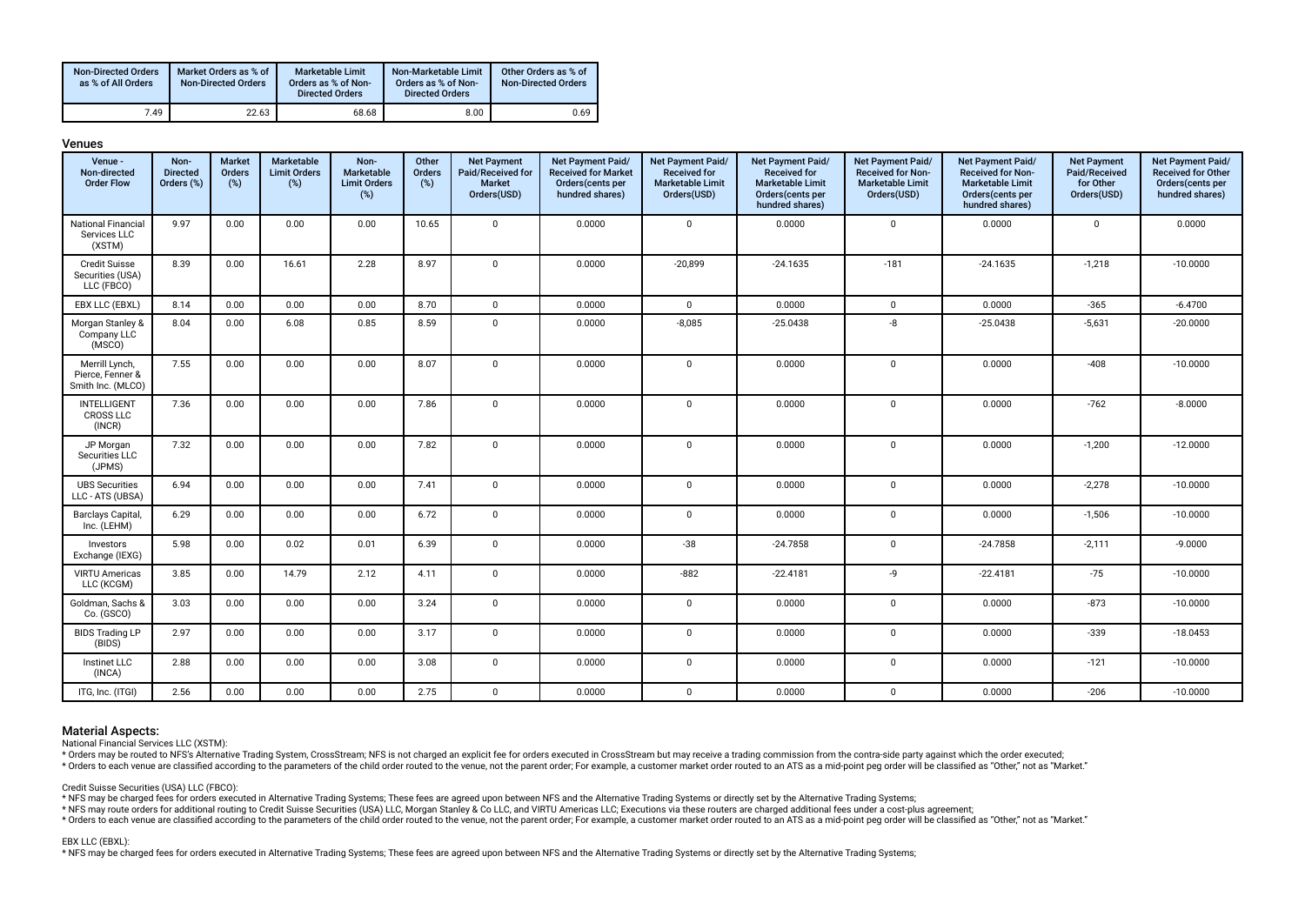| <b>Non-Directed Orders</b><br>as % of All Orders | Market Orders as % of<br><b>Non-Directed Orders</b> | Marketable Limit<br>Orders as % of Non-<br><b>Directed Orders</b> | Non-Marketable Limit<br>Orders as % of Non-<br><b>Directed Orders</b> | Other Orders as % of<br><b>Non-Directed Orders</b> |
|--------------------------------------------------|-----------------------------------------------------|-------------------------------------------------------------------|-----------------------------------------------------------------------|----------------------------------------------------|
| 7.49                                             | 22.63                                               | 68.68                                                             | 8.00                                                                  | 0.69                                               |

| Venue -<br>Non-directed<br><b>Order Flow</b>            | Non-<br><b>Directed</b><br>Orders (%) | <b>Market</b><br><b>Orders</b><br>(%) | <b>Marketable</b><br><b>Limit Orders</b><br>(%) | Non-<br>Marketable<br><b>Limit Orders</b><br>(%) | Other<br><b>Orders</b><br>(%) | <b>Net Payment</b><br>Paid/Received for<br><b>Market</b><br>Orders(USD) | Net Payment Paid/<br><b>Received for Market</b><br>Orders(cents per<br>hundred shares) | Net Payment Paid/<br><b>Received for</b><br><b>Marketable Limit</b><br>Orders(USD) | Net Payment Paid/<br><b>Received for</b><br><b>Marketable Limit</b><br>Orders(cents per<br>hundred shares) | Net Payment Paid/<br><b>Received for Non-</b><br><b>Marketable Limit</b><br>Orders(USD) | Net Payment Paid/<br><b>Received for Non-</b><br><b>Marketable Limit</b><br>Orders(cents per<br>hundred shares) | <b>Net Payment</b><br>Paid/Received<br>for Other<br>Orders(USD) | Net Payment Paid/<br><b>Received for Other</b><br>Orders(cents per<br>hundred shares) |
|---------------------------------------------------------|---------------------------------------|---------------------------------------|-------------------------------------------------|--------------------------------------------------|-------------------------------|-------------------------------------------------------------------------|----------------------------------------------------------------------------------------|------------------------------------------------------------------------------------|------------------------------------------------------------------------------------------------------------|-----------------------------------------------------------------------------------------|-----------------------------------------------------------------------------------------------------------------|-----------------------------------------------------------------|---------------------------------------------------------------------------------------|
| <b>National Financial</b><br>Services LLC<br>(XSTM)     | 9.97                                  | 0.00                                  | 0.00                                            | 0.00                                             | 10.65                         | $\mathbf{0}$                                                            | 0.0000                                                                                 | $\mathbf 0$                                                                        | 0.0000                                                                                                     | $\mathbf 0$                                                                             | 0.0000                                                                                                          | $\mathbf 0$                                                     | 0.0000                                                                                |
| <b>Credit Suisse</b><br>Securities (USA)<br>LLC (FBCO)  | 8.39                                  | 0.00                                  | 16.61                                           | 2.28                                             | 8.97                          | $\mathbf 0$                                                             | 0.0000                                                                                 | $-20,899$                                                                          | $-24.1635$                                                                                                 | $-181$                                                                                  | $-24.1635$                                                                                                      | $-1,218$                                                        | $-10.0000$                                                                            |
| EBX LLC (EBXL)                                          | 8.14                                  | 0.00                                  | 0.00                                            | 0.00                                             | 8.70                          | $\mathbf 0$                                                             | 0.0000                                                                                 | $\mathbf 0$                                                                        | 0.0000                                                                                                     | $\mathbf{0}$                                                                            | 0.0000                                                                                                          | $-365$                                                          | $-6.4700$                                                                             |
| Morgan Stanley &<br>Company LLC<br>(MSCO)               | 8.04                                  | 0.00                                  | 6.08                                            | 0.85                                             | 8.59                          | $\mathbf{0}$                                                            | 0.0000                                                                                 | $-8,085$                                                                           | $-25.0438$                                                                                                 | -8                                                                                      | $-25.0438$                                                                                                      | $-5,631$                                                        | $-20.0000$                                                                            |
| Merrill Lynch,<br>Pierce, Fenner &<br>Smith Inc. (MLCO) | 7.55                                  | 0.00                                  | 0.00                                            | 0.00                                             | 8.07                          | $\mathbf{0}$                                                            | 0.0000                                                                                 | $\mathsf 0$                                                                        | 0.0000                                                                                                     | $\mathbf 0$                                                                             | 0.0000                                                                                                          | $-408$                                                          | $-10.0000$                                                                            |
| <b>INTELLIGENT</b><br><b>CROSS LLC</b><br>(INCR)        | 7.36                                  | 0.00                                  | 0.00                                            | 0.00                                             | 7.86                          | $\mathbf{0}$                                                            | 0.0000                                                                                 | $\mathbf 0$                                                                        | 0.0000                                                                                                     | $\mathbf 0$                                                                             | 0.0000                                                                                                          | $-762$                                                          | $-8.0000$                                                                             |
| JP Morgan<br>Securities LLC<br>(JPMS)                   | 7.32                                  | 0.00                                  | 0.00                                            | 0.00                                             | 7.82                          | $\mathbf{0}$                                                            | 0.0000                                                                                 | $\mathbf 0$                                                                        | 0.0000                                                                                                     | $\mathbf 0$                                                                             | 0.0000                                                                                                          | $-1,200$                                                        | $-12.0000$                                                                            |
| <b>UBS Securities</b><br>LLC - ATS (UBSA)               | 6.94                                  | 0.00                                  | 0.00                                            | 0.00                                             | 7.41                          | $\mathbf 0$                                                             | 0.0000                                                                                 | $\mathsf 0$                                                                        | 0.0000                                                                                                     | $\mathbf 0$                                                                             | 0.0000                                                                                                          | $-2,278$                                                        | $-10.0000$                                                                            |
| Barclays Capital,<br>Inc. (LEHM)                        | 6.29                                  | 0.00                                  | 0.00                                            | 0.00                                             | 6.72                          | $\mathbf 0$                                                             | 0.0000                                                                                 | $\mathsf 0$                                                                        | 0.0000                                                                                                     | $\mathbf 0$                                                                             | 0.0000                                                                                                          | $-1,506$                                                        | $-10.0000$                                                                            |
| Investors<br>Exchange (IEXG)                            | 5.98                                  | 0.00                                  | 0.02                                            | 0.01                                             | 6.39                          | $\mathbf{0}$                                                            | 0.0000                                                                                 | $-38$                                                                              | $-24.7858$                                                                                                 | $\mathbf 0$                                                                             | $-24.7858$                                                                                                      | $-2,111$                                                        | $-9.0000$                                                                             |
| <b>VIRTU Americas</b><br>LLC (KCGM)                     | 3.85                                  | 0.00                                  | 14.79                                           | 2.12                                             | 4.11                          | $\mathbf 0$                                                             | 0.0000                                                                                 | $-882$                                                                             | $-22.4181$                                                                                                 | -9                                                                                      | $-22.4181$                                                                                                      | $-75$                                                           | $-10.0000$                                                                            |
| Goldman, Sachs &<br>Co. (GSCO)                          | 3.03                                  | 0.00                                  | 0.00                                            | 0.00                                             | 3.24                          | $\mathbf 0$                                                             | 0.0000                                                                                 | $\mathsf 0$                                                                        | 0.0000                                                                                                     | $\mathbf 0$                                                                             | 0.0000                                                                                                          | $-873$                                                          | $-10.0000$                                                                            |
| <b>BIDS Trading LP</b><br>(BIDS)                        | 2.97                                  | 0.00                                  | 0.00                                            | 0.00                                             | 3.17                          | $\mathbf{0}$                                                            | 0.0000                                                                                 | $\mathbf 0$                                                                        | 0.0000                                                                                                     | $\mathbf 0$                                                                             | 0.0000                                                                                                          | $-339$                                                          | $-18.0453$                                                                            |
| Instinet LLC<br>(INCA)                                  | 2.88                                  | 0.00                                  | 0.00                                            | 0.00                                             | 3.08                          | $\mathbf{0}$                                                            | 0.0000                                                                                 | $\mathbf 0$                                                                        | 0.0000                                                                                                     | $\mathbf 0$                                                                             | 0.0000                                                                                                          | $-121$                                                          | $-10.0000$                                                                            |
| ITG, Inc. (ITGI)                                        | 2.56                                  | 0.00                                  | 0.00                                            | 0.00                                             | 2.75                          | $\mathbf 0$                                                             | 0.0000                                                                                 | $\mathbf 0$                                                                        | 0.0000                                                                                                     | $\mathbf 0$                                                                             | 0.0000                                                                                                          | $-206$                                                          | $-10.0000$                                                                            |

# Venues

# Material Aspects:

National Financial Services LLC (XSTM):

\* Orders may be routed to NFS's Alternative Trading System, CrossStream; NFS is not charged an explicit fee for orders executed in CrossStream but may receive a trading commission from the contra-side party against which t

\* Orders to each venue are classified according to the parameters of the child order routed to the venue, not the parent order; For example, a customer market order routed to an ATS as a mid-point peg order will be classif

Credit Suisse Securities (USA) LLC (FBCO):

\* NFS may be charged fees for orders executed in Alternative Trading Systems; These fees are agreed upon between NFS and the Alternative Trading Systems or directly set by the Alternative Trading Systems;

\* NFS may route orders for additional routing to Credit Suisse Securities (USA) LLC, Morgan Stanley & Co LLC, and VIRTU Americas LLC; Executions via these routers are charged additional fees under a cost-plus agreement;

to relation the cass of the condition of the parameters of the child order routed to the venue, not the parent order, For example, a customer market order routed to an ATS as a mid-point peg order will be classified as "Ot

#### EBX LLC (EBXL):

\* NFS may be charged fees for orders executed in Alternative Trading Systems; These fees are agreed upon between NFS and the Alternative Trading Systems or directly set by the Alternative Trading Systems;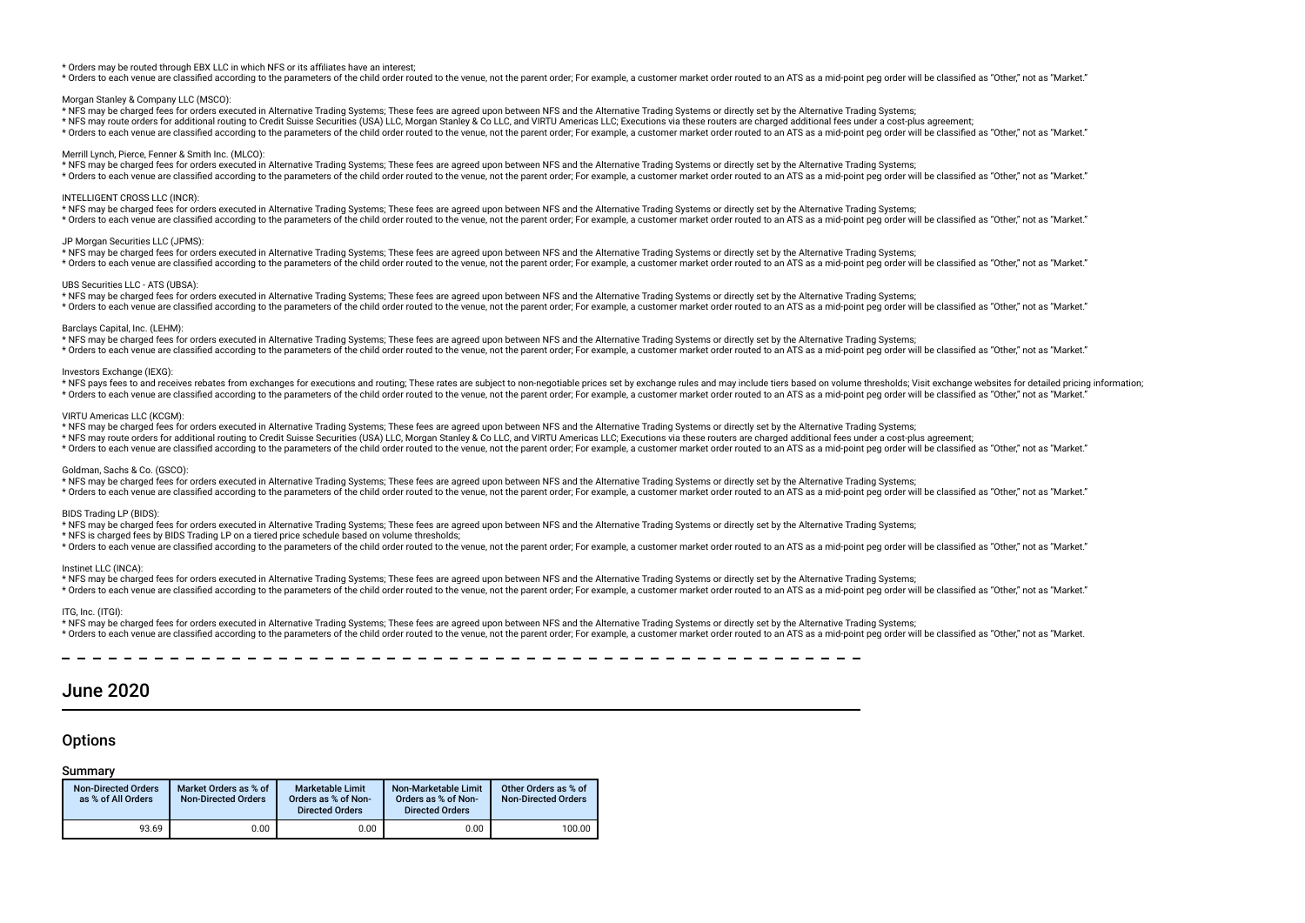#### \* Orders may be routed through EBX LLC in which NFS or its affliates have an interest;

\* Orders to each venue are classified according to the parameters of the child order routed to the venue, not the parent order. For example, a customer market order routed to an ATS as a mid-point peq order will be classif

#### Morgan Stanley & Company LLC (MSCO):

\* NFS may be charged fees for orders executed in Alternative Trading Systems; These fees are agreed upon between NFS and the Alternative Trading Systems or directly set by the Alternative Trading Systems;

\* NFS may route orders for additional routing to Credit Suisse Securities (USA) LLC, Morgan Stanley & Co LLC, and VIRTU Americas LLC; Executions via these routers are charged additional fees under a cost-plus agreement;

\* Orders to each venue are classified according to the parameters of the child order routed to the venue, not the parent order. For example, a customer market order routed to an ATS as a mid-point peg order will be classif

#### Merrill Lynch, Pierce, Fenner & Smith Inc. (MLCO):

\* NFS may be charged fees for orders executed in Alternative Trading Systems; These fees are agreed upon between NFS and the Alternative Trading Systems or directly set by the Alternative Trading Systems;

\* Orders to each venue are classified according to the parameters of the child order routed to the venue, not the parent order; For example, a customer market order routed to an ATS as a mid-point peg order will be classif

## INTELLIGENT CROSS LLC (INCR):

\* NFS may be charged fees for orders executed in Alternative Trading Systems; These fees are agreed upon between NFS and the Alternative Trading Systems or directly set by the Alternative Trading Systems; \* Orders to each venue are classified according to the parameters of the child order routed to the venue, not the parent order; For example, a customer market order routed to an ATS as a mid-point peg order will be classif

#### JP Morgan Securities LLC (JPMS):

\* NFS may be charged fees for orders executed in Alternative Trading Systems; These fees are agreed upon between NFS and the Alternative Trading Systems or directly set by the Alternative Trading Systems; \* Orders to each venue are classified according to the parameters of the child order routed to the venue, not the parent order. For example, a customer market order routed to an ATS as a mid-point peg order will be classif

#### UBS Securities LLC - ATS (UBSA):

\* NFS may be charged fees for orders executed in Alternative Trading Systems; These fees are agreed upon between NFS and the Alternative Trading Systems or directly set by the Alternative Trading Systems; \* Orders to each venue are classified according to the parameters of the child order routed to the venue, not the parent order. For example, a customer market order routed to an ATS as a mid-point peg order will be classif

#### Barclays Capital, Inc. (LEHM):

\* NFS may be charged fees for orders executed in Alternative Trading Systems; These fees are agreed upon between NFS and the Alternative Trading Systems or directly set by the Alternative Trading Systems;

\* Orders to each venue are classified according to the parameters of the child order routed to the venue, not the parent order; For example, a customer market order routed to an ATS as a mid-point peq order will be classif

### Investors Exchange (IEXG):

\* NFS pays fees to and receives rebates from exchanges for executions and routing; These rates are subject to non-negotiable prices set by exchange rules and may include tiers based on volume thresholds; Visit exchange web \* Orders to each venue are classified according to the parameters of the child order routed to the venue, not the parent order. For example, a customer market order routed to an ATS as a mid-point peo order will be classif

#### VIRTU Americas LLC (KCGM):

\* NFS may be charged fees for orders executed in Alternative Trading Systems; These fees are agreed upon between NFS and the Alternative Trading Systems or directly set by the Alternative Trading Systems;

\* NFS may route orders for additional routing to Credit Suisse Securities (USA) LLC, Morgan Stanley & Co LLC, and VIRTU Americas LLC; Executions via these routers are charged additional fees under a cost-plus agreement;

\* Orders to each venue are classified according to the parameters of the child order routed to the venue, not the parent order; For example, a customer market order routed to an ATS as a mid-point peq order will be classif

#### Goldman, Sachs & Co. (GSCO):

\* NFS may be charged fees for orders executed in Alternative Trading Systems; These fees are agreed upon between NFS and the Alternative Trading Systems or directly set by the Alternative Trading Systems;

\* Orders to each venue are classified according to the parameters of the child order routed to the venue, not the parent order; For example, a customer market order routed to an ATS as a mid-point peg order will be classif

## BIDS Trading LP (BIDS):

\* NFS may be charged fees for orders executed in Alternative Trading Systems; These fees are agreed upon between NFS and the Alternative Trading Systems or directly set by the Alternative Trading Systems;

\* NFS is charged fees by BIDS Trading LP on a tiered price schedule based on volume thresholds;

\* Orders to each venue are classified according to the parameters of the child order routed to the venue, not the parent order; For example, a customer market order routed to an ATS as a mid-point peq order will be classif

### Instinet LLC (INCA):

\* NFS may be charged fees for orders executed in Alternative Trading Systems; These fees are agreed upon between NFS and the Alternative Trading Systems or directly set by the Alternative Trading Systems;

\* Orders to each venue are classified according to the parameters of the child order routed to the venue, not the parent order; For example, a customer market order routed to an ATS as a mid-point peg order will be classif

#### ITG, Inc. (ITGI):

\* NFS may be charged fees for orders executed in Alternative Trading Systems; These fees are agreed upon between NFS and the Alternative Trading Systems or directly set by the Alternative Trading Systems; \* Orders to each venue are classified according to the parameters of the child order routed to the venue, not the parent order; For example, a customer market order routed to an ATS as a mid-point peg order will be classif

# June 2020

# **Options**

| <b>Non-Directed Orders</b><br>as % of All Orders | Market Orders as % of<br><b>Non-Directed Orders</b> | <b>Marketable Limit</b><br>Orders as % of Non-<br><b>Directed Orders</b> | Non-Marketable Limit<br>Orders as % of Non-<br><b>Directed Orders</b> | Other Orders as % of<br><b>Non-Directed Orders</b> |
|--------------------------------------------------|-----------------------------------------------------|--------------------------------------------------------------------------|-----------------------------------------------------------------------|----------------------------------------------------|
| 93.69                                            | 0.00                                                | 0.00                                                                     | 0.00                                                                  | 100.00                                             |